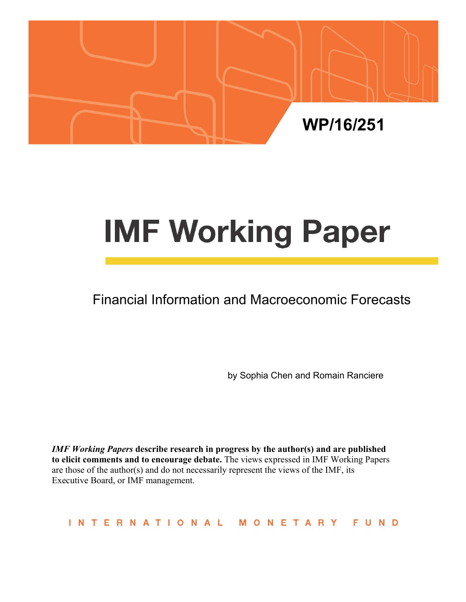

# **IMF Working Paper**

## Financial Information and Macroeconomic Forecasts

by Sophia Chen and Romain Ranciere

*IMF Working Papers* **describe research in progress by the author(s) and are published to elicit comments and to encourage debate.** The views expressed in IMF Working Papers are those of the author(s) and do not necessarily represent the views of the IMF, its Executive Board, or IMF management.

INTERNATIONAL MONETARY FUND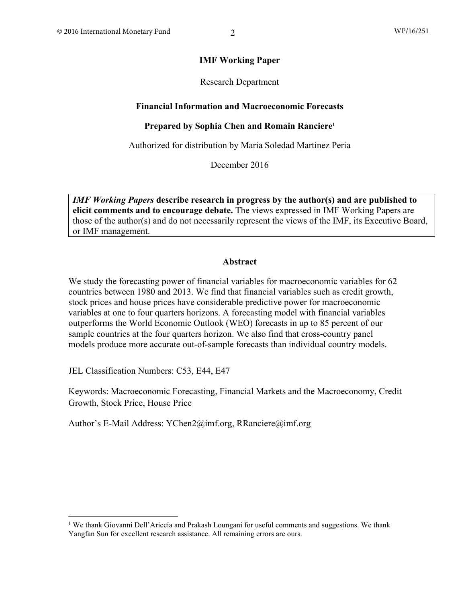#### **IMF Working Paper**

#### Research Department

#### **Financial Information and Macroeconomic Forecasts**

#### **Prepared by Sophia Chen and Romain Ranciere1**

Authorized for distribution by Maria Soledad Martinez Peria

December 2016

*IMF Working Papers* **describe research in progress by the author(s) and are published to elicit comments and to encourage debate.** The views expressed in IMF Working Papers are those of the author(s) and do not necessarily represent the views of the IMF, its Executive Board, or IMF management.

#### **Abstract**

We study the forecasting power of financial variables for macroeconomic variables for 62 countries between 1980 and 2013. We find that financial variables such as credit growth, stock prices and house prices have considerable predictive power for macroeconomic variables at one to four quarters horizons. A forecasting model with financial variables outperforms the World Economic Outlook (WEO) forecasts in up to 85 percent of our sample countries at the four quarters horizon. We also find that cross-country panel models produce more accurate out-of-sample forecasts than individual country models.

JEL Classification Numbers: C53, E44, E47

Keywords: Macroeconomic Forecasting, Financial Markets and the Macroeconomy, Credit Growth, Stock Price, House Price

Author's E-Mail Address: YChen2@imf.org, RRanciere@imf.org

<sup>&</sup>lt;sup>1</sup> We thank Giovanni Dell'Ariccia and Prakash Loungani for useful comments and suggestions. We thank Yangfan Sun for excellent research assistance. All remaining errors are ours.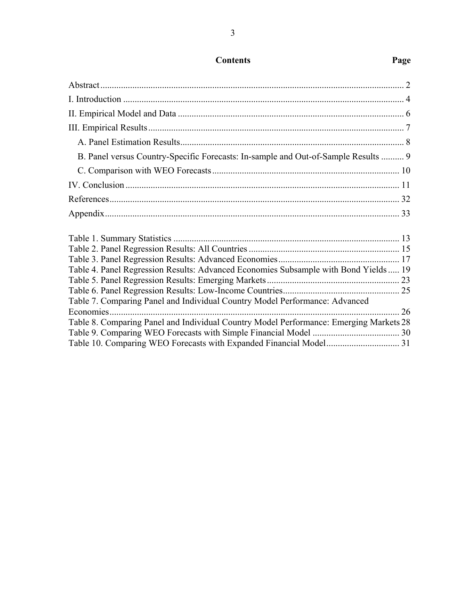| B. Panel versus Country-Specific Forecasts: In-sample and Out-of-Sample Results  9     |  |
|----------------------------------------------------------------------------------------|--|
|                                                                                        |  |
|                                                                                        |  |
|                                                                                        |  |
|                                                                                        |  |
|                                                                                        |  |
|                                                                                        |  |
|                                                                                        |  |
| Table 4. Panel Regression Results: Advanced Economies Subsample with Bond Yields  19   |  |
|                                                                                        |  |
|                                                                                        |  |
| Table 7. Comparing Panel and Individual Country Model Performance: Advanced            |  |
|                                                                                        |  |
| Table 8. Comparing Panel and Individual Country Model Performance: Emerging Markets 28 |  |
|                                                                                        |  |
|                                                                                        |  |

### **Contents Page**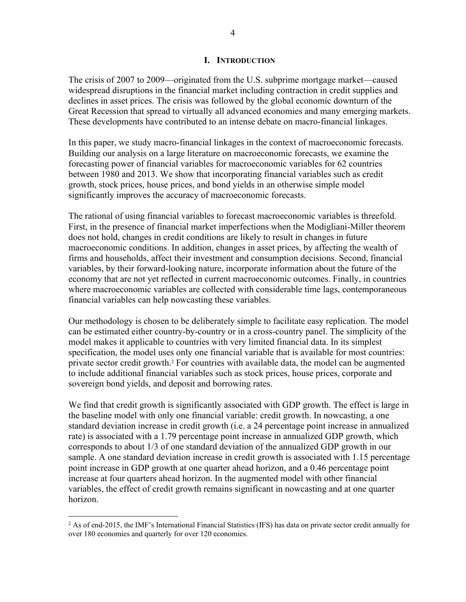#### **I. INTRODUCTION**

The crisis of 2007 to 2009—originated from the U.S. subprime mortgage market—caused widespread disruptions in the financial market including contraction in credit supplies and declines in asset prices. The crisis was followed by the global economic downturn of the Great Recession that spread to virtually all advanced economies and many emerging markets. These developments have contributed to an intense debate on macro-financial linkages.

In this paper, we study macro-financial linkages in the context of macroeconomic forecasts. Building our analysis on a large literature on macroeconomic forecasts, we examine the forecasting power of financial variables for macroeconomic variables for 62 countries between 1980 and 2013. We show that incorporating financial variables such as credit growth, stock prices, house prices, and bond yields in an otherwise simple model significantly improves the accuracy of macroeconomic forecasts.

The rational of using financial variables to forecast macroeconomic variables is threefold. First, in the presence of financial market imperfections when the Modigliani-Miller theorem does not hold, changes in credit conditions are likely to result in changes in future macroeconomic conditions. In addition, changes in asset prices, by affecting the wealth of firms and households, affect their investment and consumption decisions. Second, financial variables, by their forward-looking nature, incorporate information about the future of the economy that are not yet reflected in current macroeconomic outcomes. Finally, in countries where macroeconomic variables are collected with considerable time lags, contemporaneous financial variables can help nowcasting these variables.

Our methodology is chosen to be deliberately simple to facilitate easy replication. The model can be estimated either country-by-country or in a cross-country panel. The simplicity of the model makes it applicable to countries with very limited financial data. In its simplest specification, the model uses only one financial variable that is available for most countries: private sector credit growth.<sup>2</sup> For countries with available data, the model can be augmented to include additional financial variables such as stock prices, house prices, corporate and sovereign bond yields, and deposit and borrowing rates.

We find that credit growth is significantly associated with GDP growth. The effect is large in the baseline model with only one financial variable: credit growth. In nowcasting, a one standard deviation increase in credit growth (i.e. a 24 percentage point increase in annualized rate) is associated with a 1.79 percentage point increase in annualized GDP growth, which corresponds to about 1/3 of one standard deviation of the annualized GDP growth in our sample. A one standard deviation increase in credit growth is associated with 1.15 percentage point increase in GDP growth at one quarter ahead horizon, and a 0.46 percentage point increase at four quarters ahead horizon. In the augmented model with other financial variables, the effect of credit growth remains significant in nowcasting and at one quarter horizon.

 $\overline{a}$ 

<sup>&</sup>lt;sup>2</sup> As of end-2015, the IMF's International Financial Statistics (IFS) has data on private sector credit annually for over 180 economies and quarterly for over 120 economies.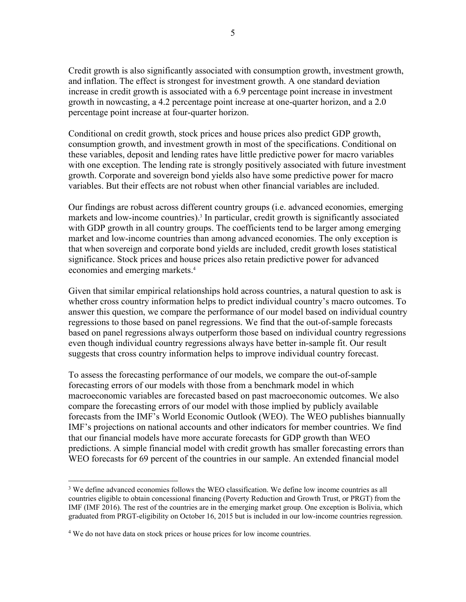Credit growth is also significantly associated with consumption growth, investment growth, and inflation. The effect is strongest for investment growth. A one standard deviation increase in credit growth is associated with a 6.9 percentage point increase in investment growth in nowcasting, a 4.2 percentage point increase at one-quarter horizon, and a 2.0 percentage point increase at four-quarter horizon.

Conditional on credit growth, stock prices and house prices also predict GDP growth, consumption growth, and investment growth in most of the specifications. Conditional on these variables, deposit and lending rates have little predictive power for macro variables with one exception. The lending rate is strongly positively associated with future investment growth. Corporate and sovereign bond yields also have some predictive power for macro variables. But their effects are not robust when other financial variables are included.

Our findings are robust across different country groups (i.e. advanced economies, emerging markets and low-income countries).<sup>3</sup> In particular, credit growth is significantly associated with GDP growth in all country groups. The coefficients tend to be larger among emerging market and low-income countries than among advanced economies. The only exception is that when sovereign and corporate bond yields are included, credit growth loses statistical significance. Stock prices and house prices also retain predictive power for advanced economies and emerging markets.4

Given that similar empirical relationships hold across countries, a natural question to ask is whether cross country information helps to predict individual country's macro outcomes. To answer this question, we compare the performance of our model based on individual country regressions to those based on panel regressions. We find that the out-of-sample forecasts based on panel regressions always outperform those based on individual country regressions even though individual country regressions always have better in-sample fit. Our result suggests that cross country information helps to improve individual country forecast.

To assess the forecasting performance of our models, we compare the out-of-sample forecasting errors of our models with those from a benchmark model in which macroeconomic variables are forecasted based on past macroeconomic outcomes. We also compare the forecasting errors of our model with those implied by publicly available forecasts from the IMF's World Economic Outlook (WEO). The WEO publishes biannually IMF's projections on national accounts and other indicators for member countries. We find that our financial models have more accurate forecasts for GDP growth than WEO predictions. A simple financial model with credit growth has smaller forecasting errors than WEO forecasts for 69 percent of the countries in our sample. An extended financial model

 $\overline{a}$ 

<sup>&</sup>lt;sup>3</sup> We define advanced economies follows the WEO classification. We define low income countries as all countries eligible to obtain concessional financing (Poverty Reduction and Growth Trust, or PRGT) from the IMF (IMF 2016). The rest of the countries are in the emerging market group. One exception is Bolivia, which graduated from PRGT-eligibility on October 16, 2015 but is included in our low-income countries regression.

<sup>&</sup>lt;sup>4</sup> We do not have data on stock prices or house prices for low income countries.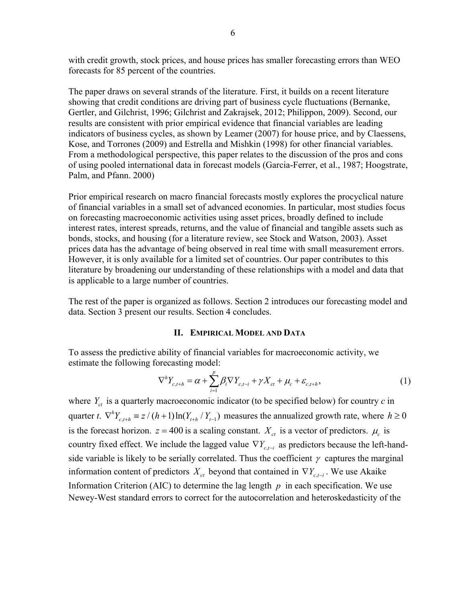with credit growth, stock prices, and house prices has smaller forecasting errors than WEO forecasts for 85 percent of the countries.

The paper draws on several strands of the literature. First, it builds on a recent literature showing that credit conditions are driving part of business cycle fluctuations (Bernanke, Gertler, and Gilchrist, 1996; Gilchrist and Zakrajsek, 2012; Philippon, 2009). Second, our results are consistent with prior empirical evidence that financial variables are leading indicators of business cycles, as shown by Leamer (2007) for house price, and by Claessens, Kose, and Torrones (2009) and Estrella and Mishkin (1998) for other financial variables. From a methodological perspective, this paper relates to the discussion of the pros and cons of using pooled international data in forecast models (Garcia-Ferrer, et al., 1987; Hoogstrate, Palm, and Pfann. 2000)

Prior empirical research on macro financial forecasts mostly explores the procyclical nature of financial variables in a small set of advanced economies. In particular, most studies focus on forecasting macroeconomic activities using asset prices, broadly defined to include interest rates, interest spreads, returns, and the value of financial and tangible assets such as bonds, stocks, and housing (for a literature review, see Stock and Watson, 2003). Asset prices data has the advantage of being observed in real time with small measurement errors. However, it is only available for a limited set of countries. Our paper contributes to this literature by broadening our understanding of these relationships with a model and data that is applicable to a large number of countries.

The rest of the paper is organized as follows. Section 2 introduces our forecasting model and data. Section 3 present our results. Section 4 concludes.

#### **II. EMPIRICAL MODEL AND DATA**

To assess the predictive ability of financial variables for macroeconomic activity, we estimate the following forecasting model:

$$
\nabla^{h} Y_{c,t+h} = \alpha + \sum_{i=1}^{p} \beta_{i} \nabla Y_{c,t-i} + \gamma X_{ct} + \mu_{c} + \varepsilon_{c,t+h}, \qquad (1)
$$

where  $Y_{ct}$  is a quarterly macroeconomic indicator (to be specified below) for country  $c$  in quarter *t*.  $\nabla^h Y_{c,t+h} \equiv z/(h+1)\ln(Y_{t+h}/Y_{t-1})$  measures the annualized growth rate, where  $h \ge 0$ is the forecast horizon.  $z = 400$  is a scaling constant.  $X_{ct}$  is a vector of predictors.  $\mu_c$  is country fixed effect. We include the lagged value  $\nabla Y_{c,t-i}$  as predictors because the left-handside variable is likely to be serially correlated. Thus the coefficient  $\gamma$  captures the marginal information content of predictors  $X_{ct}$  beyond that contained in  $\nabla Y_{ct}$ . We use Akaike Information Criterion (AIC) to determine the lag length  $p$  in each specification. We use Newey-West standard errors to correct for the autocorrelation and heteroskedasticity of the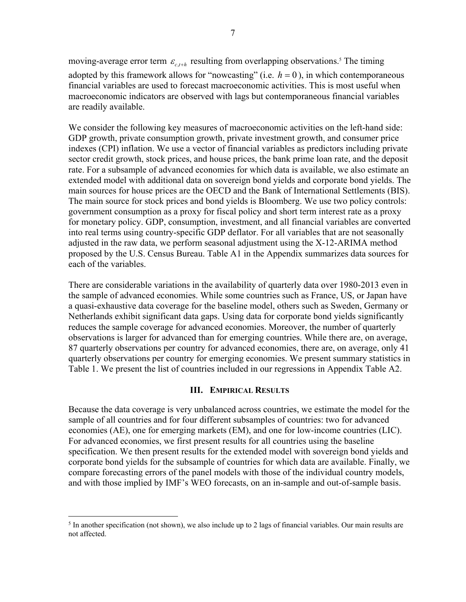moving-average error term  $\varepsilon_{c,t+h}$  resulting from overlapping observations.<sup>5</sup> The timing adopted by this framework allows for "nowcasting" (i.e.  $h = 0$ ), in which contemporaneous financial variables are used to forecast macroeconomic activities. This is most useful when macroeconomic indicators are observed with lags but contemporaneous financial variables are readily available.

We consider the following key measures of macroeconomic activities on the left-hand side: GDP growth, private consumption growth, private investment growth, and consumer price indexes (CPI) inflation. We use a vector of financial variables as predictors including private sector credit growth, stock prices, and house prices, the bank prime loan rate, and the deposit rate. For a subsample of advanced economies for which data is available, we also estimate an extended model with additional data on sovereign bond yields and corporate bond yields. The main sources for house prices are the OECD and the Bank of International Settlements (BIS). The main source for stock prices and bond yields is Bloomberg. We use two policy controls: government consumption as a proxy for fiscal policy and short term interest rate as a proxy for monetary policy. GDP, consumption, investment, and all financial variables are converted into real terms using country-specific GDP deflator. For all variables that are not seasonally adjusted in the raw data, we perform seasonal adjustment using the X-12-ARIMA method proposed by the U.S. Census Bureau. Table A1 in the Appendix summarizes data sources for each of the variables.

There are considerable variations in the availability of quarterly data over 1980-2013 even in the sample of advanced economies. While some countries such as France, US, or Japan have a quasi-exhaustive data coverage for the baseline model, others such as Sweden, Germany or Netherlands exhibit significant data gaps. Using data for corporate bond yields significantly reduces the sample coverage for advanced economies. Moreover, the number of quarterly observations is larger for advanced than for emerging countries. While there are, on average, 87 quarterly observations per country for advanced economies, there are, on average, only 41 quarterly observations per country for emerging economies. We present summary statistics in Table 1. We present the list of countries included in our regressions in Appendix Table A2.

#### **III. EMPIRICAL RESULTS**

Because the data coverage is very unbalanced across countries, we estimate the model for the sample of all countries and for four different subsamples of countries: two for advanced economies (AE), one for emerging markets (EM), and one for low-income countries (LIC). For advanced economies, we first present results for all countries using the baseline specification. We then present results for the extended model with sovereign bond yields and corporate bond yields for the subsample of countries for which data are available. Finally, we compare forecasting errors of the panel models with those of the individual country models, and with those implied by IMF's WEO forecasts, on an in-sample and out-of-sample basis.

 $\overline{a}$ 

<sup>&</sup>lt;sup>5</sup> In another specification (not shown), we also include up to 2 lags of financial variables. Our main results are not affected.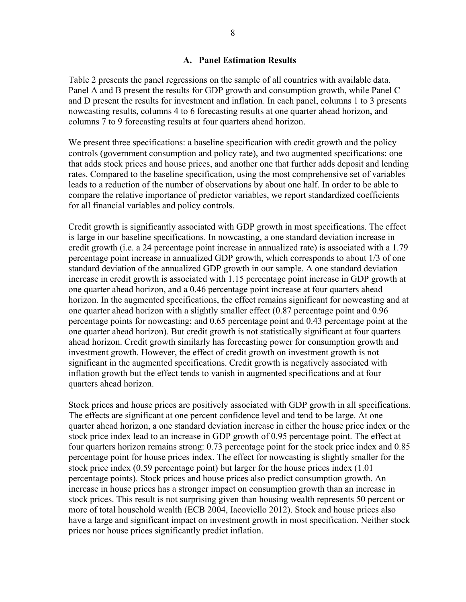#### **A. Panel Estimation Results**

Table 2 presents the panel regressions on the sample of all countries with available data. Panel A and B present the results for GDP growth and consumption growth, while Panel C and D present the results for investment and inflation. In each panel, columns 1 to 3 presents nowcasting results, columns 4 to 6 forecasting results at one quarter ahead horizon, and columns 7 to 9 forecasting results at four quarters ahead horizon.

We present three specifications: a baseline specification with credit growth and the policy controls (government consumption and policy rate), and two augmented specifications: one that adds stock prices and house prices, and another one that further adds deposit and lending rates. Compared to the baseline specification, using the most comprehensive set of variables leads to a reduction of the number of observations by about one half. In order to be able to compare the relative importance of predictor variables, we report standardized coefficients for all financial variables and policy controls.

Credit growth is significantly associated with GDP growth in most specifications. The effect is large in our baseline specifications. In nowcasting, a one standard deviation increase in credit growth (i.e. a 24 percentage point increase in annualized rate) is associated with a 1.79 percentage point increase in annualized GDP growth, which corresponds to about 1/3 of one standard deviation of the annualized GDP growth in our sample. A one standard deviation increase in credit growth is associated with 1.15 percentage point increase in GDP growth at one quarter ahead horizon, and a 0.46 percentage point increase at four quarters ahead horizon. In the augmented specifications, the effect remains significant for nowcasting and at one quarter ahead horizon with a slightly smaller effect (0.87 percentage point and 0.96 percentage points for nowcasting; and 0.65 percentage point and 0.43 percentage point at the one quarter ahead horizon). But credit growth is not statistically significant at four quarters ahead horizon. Credit growth similarly has forecasting power for consumption growth and investment growth. However, the effect of credit growth on investment growth is not significant in the augmented specifications. Credit growth is negatively associated with inflation growth but the effect tends to vanish in augmented specifications and at four quarters ahead horizon.

Stock prices and house prices are positively associated with GDP growth in all specifications. The effects are significant at one percent confidence level and tend to be large. At one quarter ahead horizon, a one standard deviation increase in either the house price index or the stock price index lead to an increase in GDP growth of 0.95 percentage point. The effect at four quarters horizon remains strong: 0.73 percentage point for the stock price index and 0.85 percentage point for house prices index. The effect for nowcasting is slightly smaller for the stock price index (0.59 percentage point) but larger for the house prices index (1.01 percentage points). Stock prices and house prices also predict consumption growth. An increase in house prices has a stronger impact on consumption growth than an increase in stock prices. This result is not surprising given than housing wealth represents 50 percent or more of total household wealth (ECB 2004, Iacoviello 2012). Stock and house prices also have a large and significant impact on investment growth in most specification. Neither stock prices nor house prices significantly predict inflation.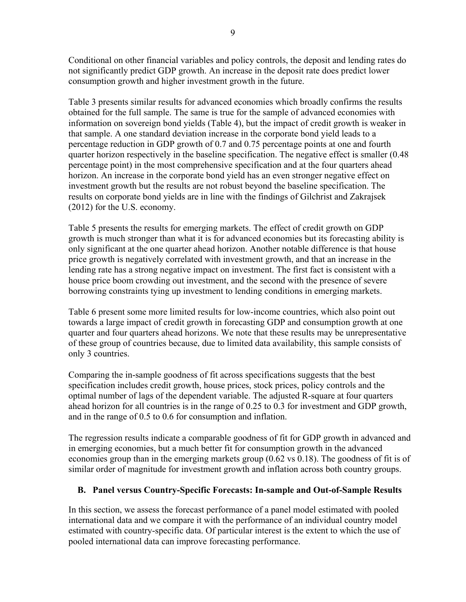Conditional on other financial variables and policy controls, the deposit and lending rates do not significantly predict GDP growth. An increase in the deposit rate does predict lower consumption growth and higher investment growth in the future.

Table 3 presents similar results for advanced economies which broadly confirms the results obtained for the full sample. The same is true for the sample of advanced economies with information on sovereign bond yields (Table 4), but the impact of credit growth is weaker in that sample. A one standard deviation increase in the corporate bond yield leads to a percentage reduction in GDP growth of 0.7 and 0.75 percentage points at one and fourth quarter horizon respectively in the baseline specification. The negative effect is smaller (0.48 percentage point) in the most comprehensive specification and at the four quarters ahead horizon. An increase in the corporate bond yield has an even stronger negative effect on investment growth but the results are not robust beyond the baseline specification. The results on corporate bond yields are in line with the findings of Gilchrist and Zakrajsek (2012) for the U.S. economy.

Table 5 presents the results for emerging markets. The effect of credit growth on GDP growth is much stronger than what it is for advanced economies but its forecasting ability is only significant at the one quarter ahead horizon. Another notable difference is that house price growth is negatively correlated with investment growth, and that an increase in the lending rate has a strong negative impact on investment. The first fact is consistent with a house price boom crowding out investment, and the second with the presence of severe borrowing constraints tying up investment to lending conditions in emerging markets.

Table 6 present some more limited results for low-income countries, which also point out towards a large impact of credit growth in forecasting GDP and consumption growth at one quarter and four quarters ahead horizons. We note that these results may be unrepresentative of these group of countries because, due to limited data availability, this sample consists of only 3 countries.

Comparing the in-sample goodness of fit across specifications suggests that the best specification includes credit growth, house prices, stock prices, policy controls and the optimal number of lags of the dependent variable. The adjusted R-square at four quarters ahead horizon for all countries is in the range of 0.25 to 0.3 for investment and GDP growth, and in the range of 0.5 to 0.6 for consumption and inflation.

The regression results indicate a comparable goodness of fit for GDP growth in advanced and in emerging economies, but a much better fit for consumption growth in the advanced economies group than in the emerging markets group (0.62 vs 0.18). The goodness of fit is of similar order of magnitude for investment growth and inflation across both country groups.

#### **B. Panel versus Country-Specific Forecasts: In-sample and Out-of-Sample Results**

In this section, we assess the forecast performance of a panel model estimated with pooled international data and we compare it with the performance of an individual country model estimated with country-specific data. Of particular interest is the extent to which the use of pooled international data can improve forecasting performance.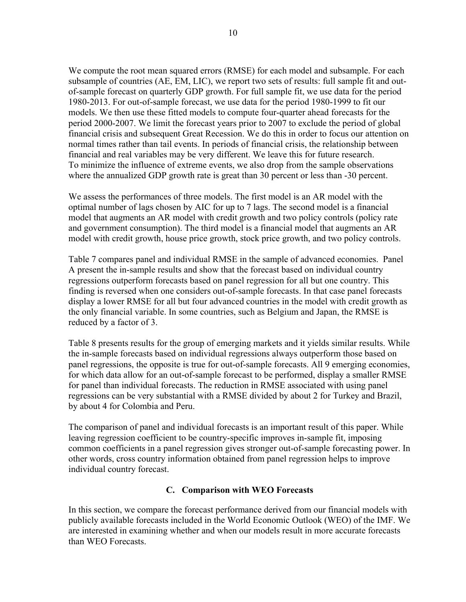We compute the root mean squared errors (RMSE) for each model and subsample. For each subsample of countries (AE, EM, LIC), we report two sets of results: full sample fit and outof-sample forecast on quarterly GDP growth. For full sample fit, we use data for the period 1980-2013. For out-of-sample forecast, we use data for the period 1980-1999 to fit our models. We then use these fitted models to compute four-quarter ahead forecasts for the period 2000-2007. We limit the forecast years prior to 2007 to exclude the period of global financial crisis and subsequent Great Recession. We do this in order to focus our attention on normal times rather than tail events. In periods of financial crisis, the relationship between financial and real variables may be very different. We leave this for future research. To minimize the influence of extreme events, we also drop from the sample observations where the annualized GDP growth rate is great than 30 percent or less than -30 percent.

We assess the performances of three models. The first model is an AR model with the optimal number of lags chosen by AIC for up to 7 lags. The second model is a financial model that augments an AR model with credit growth and two policy controls (policy rate and government consumption). The third model is a financial model that augments an AR model with credit growth, house price growth, stock price growth, and two policy controls.

Table 7 compares panel and individual RMSE in the sample of advanced economies. Panel A present the in-sample results and show that the forecast based on individual country regressions outperform forecasts based on panel regression for all but one country. This finding is reversed when one considers out-of-sample forecasts. In that case panel forecasts display a lower RMSE for all but four advanced countries in the model with credit growth as the only financial variable. In some countries, such as Belgium and Japan, the RMSE is reduced by a factor of 3.

Table 8 presents results for the group of emerging markets and it yields similar results. While the in-sample forecasts based on individual regressions always outperform those based on panel regressions, the opposite is true for out-of-sample forecasts. All 9 emerging economies, for which data allow for an out-of-sample forecast to be performed, display a smaller RMSE for panel than individual forecasts. The reduction in RMSE associated with using panel regressions can be very substantial with a RMSE divided by about 2 for Turkey and Brazil, by about 4 for Colombia and Peru.

The comparison of panel and individual forecasts is an important result of this paper. While leaving regression coefficient to be country-specific improves in-sample fit, imposing common coefficients in a panel regression gives stronger out-of-sample forecasting power. In other words, cross country information obtained from panel regression helps to improve individual country forecast.

#### **C. Comparison with WEO Forecasts**

In this section, we compare the forecast performance derived from our financial models with publicly available forecasts included in the World Economic Outlook (WEO) of the IMF. We are interested in examining whether and when our models result in more accurate forecasts than WEO Forecasts.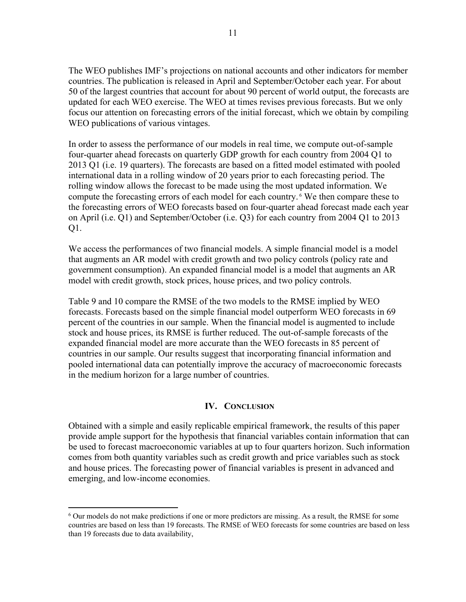The WEO publishes IMF's projections on national accounts and other indicators for member countries. The publication is released in April and September/October each year. For about 50 of the largest countries that account for about 90 percent of world output, the forecasts are updated for each WEO exercise. The WEO at times revises previous forecasts. But we only focus our attention on forecasting errors of the initial forecast, which we obtain by compiling WEO publications of various vintages.

In order to assess the performance of our models in real time, we compute out-of-sample four-quarter ahead forecasts on quarterly GDP growth for each country from 2004 Q1 to 2013 Q1 (i.e. 19 quarters). The forecasts are based on a fitted model estimated with pooled international data in a rolling window of 20 years prior to each forecasting period. The rolling window allows the forecast to be made using the most updated information. We compute the forecasting errors of each model for each country.<sup>6</sup> We then compare these to the forecasting errors of WEO forecasts based on four-quarter ahead forecast made each year on April (i.e. Q1) and September/October (i.e. Q3) for each country from 2004 Q1 to 2013 Q1.

We access the performances of two financial models. A simple financial model is a model that augments an AR model with credit growth and two policy controls (policy rate and government consumption). An expanded financial model is a model that augments an AR model with credit growth, stock prices, house prices, and two policy controls.

Table 9 and 10 compare the RMSE of the two models to the RMSE implied by WEO forecasts. Forecasts based on the simple financial model outperform WEO forecasts in 69 percent of the countries in our sample. When the financial model is augmented to include stock and house prices, its RMSE is further reduced. The out-of-sample forecasts of the expanded financial model are more accurate than the WEO forecasts in 85 percent of countries in our sample. Our results suggest that incorporating financial information and pooled international data can potentially improve the accuracy of macroeconomic forecasts in the medium horizon for a large number of countries.

#### **IV. CONCLUSION**

Obtained with a simple and easily replicable empirical framework, the results of this paper provide ample support for the hypothesis that financial variables contain information that can be used to forecast macroeconomic variables at up to four quarters horizon. Such information comes from both quantity variables such as credit growth and price variables such as stock and house prices. The forecasting power of financial variables is present in advanced and emerging, and low-income economies.

 $\overline{a}$ 

<sup>6</sup> Our models do not make predictions if one or more predictors are missing. As a result, the RMSE for some countries are based on less than 19 forecasts. The RMSE of WEO forecasts for some countries are based on less than 19 forecasts due to data availability,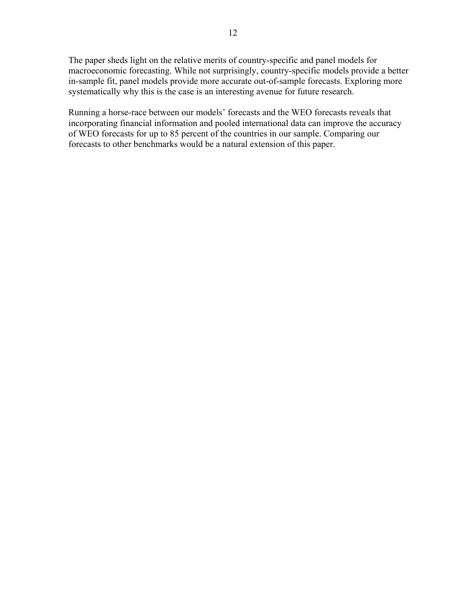The paper sheds light on the relative merits of country-specific and panel models for macroeconomic forecasting. While not surprisingly, country-specific models provide a better in-sample fit, panel models provide more accurate out-of-sample forecasts. Exploring more systematically why this is the case is an interesting avenue for future research.

Running a horse-race between our models' forecasts and the WEO forecasts reveals that incorporating financial information and pooled international data can improve the accuracy of WEO forecasts for up to 85 percent of the countries in our sample. Comparing our forecasts to other benchmarks would be a natural extension of this paper.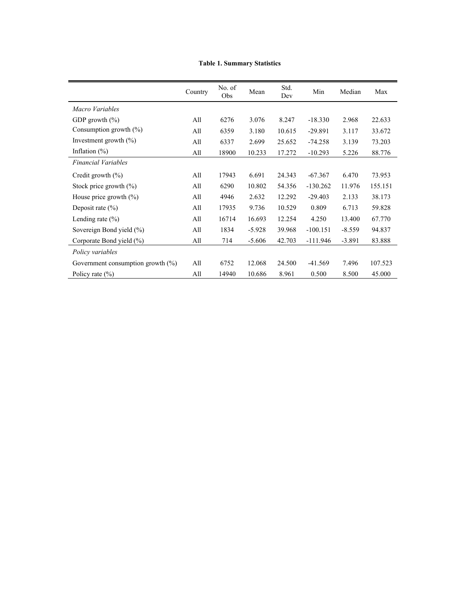|  |  | <b>Table 1. Summary Statistics</b> |  |
|--|--|------------------------------------|--|
|--|--|------------------------------------|--|

|                                      | Country | No. of<br>Obs | Mean     | Std.<br>Dev | Min        | Median   | Max     |
|--------------------------------------|---------|---------------|----------|-------------|------------|----------|---------|
| Macro Variables                      |         |               |          |             |            |          |         |
| GDP growth $(\% )$                   | All     | 6276          | 3.076    | 8.247       | $-18.330$  | 2.968    | 22.633  |
| Consumption growth $(\%)$            | All     | 6359          | 3.180    | 10.615      | $-29.891$  | 3.117    | 33.672  |
| Investment growth $(\% )$            | All     | 6337          | 2.699    | 25.652      | $-74.258$  | 3.139    | 73.203  |
| Inflation $(\%)$                     | All     | 18900         | 10.233   | 17.272      | $-10.293$  | 5.226    | 88.776  |
| <b>Financial Variables</b>           |         |               |          |             |            |          |         |
| Credit growth $(\% )$                | All     | 17943         | 6.691    | 24.343      | $-67.367$  | 6.470    | 73.953  |
| Stock price growth $(\%)$            | All     | 6290          | 10.802   | 54.356      | $-130.262$ | 11.976   | 155.151 |
| House price growth $(\% )$           | All     | 4946          | 2.632    | 12.292      | $-29.403$  | 2.133    | 38.173  |
| Deposit rate $(\% )$                 | All     | 17935         | 9.736    | 10.529      | 0.809      | 6.713    | 59.828  |
| Lending rate $(\% )$                 | All     | 16714         | 16.693   | 12.254      | 4.250      | 13.400   | 67.770  |
| Sovereign Bond yield (%)             | All     | 1834          | $-5.928$ | 39.968      | $-100.151$ | $-8.559$ | 94.837  |
| Corporate Bond yield (%)             | All     | 714           | $-5.606$ | 42.703      | $-111.946$ | $-3.891$ | 83.888  |
| Policy variables                     |         |               |          |             |            |          |         |
| Government consumption growth $(\%)$ | All     | 6752          | 12.068   | 24.500      | $-41.569$  | 7.496    | 107.523 |
| Policy rate $(\% )$                  | All     | 14940         | 10.686   | 8.961       | 0.500      | 8.500    | 45.000  |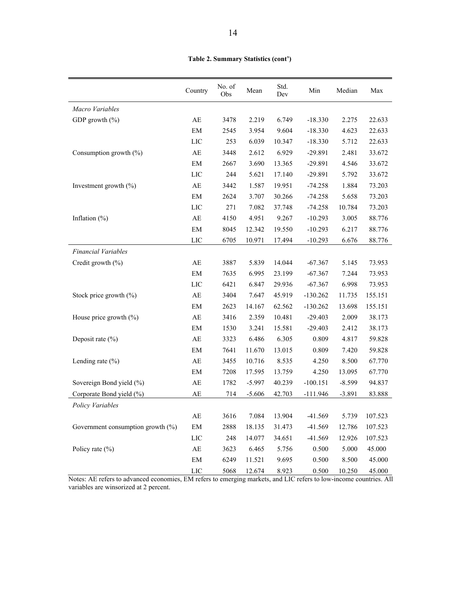|                                      | Country                    | No. of<br>Obs | Mean     | Std.<br>Dev | Min        | Median   | Max     |
|--------------------------------------|----------------------------|---------------|----------|-------------|------------|----------|---------|
| Macro Variables                      |                            |               |          |             |            |          |         |
| GDP growth $(\% )$                   | AE                         | 3478          | 2.219    | 6.749       | $-18.330$  | 2.275    | 22.633  |
|                                      | EM                         | 2545          | 3.954    | 9.604       | $-18.330$  | 4.623    | 22.633  |
|                                      | LIC                        | 253           | 6.039    | 10.347      | $-18.330$  | 5.712    | 22.633  |
| Consumption growth $(\% )$           | AE                         | 3448          | 2.612    | 6.929       | $-29.891$  | 2.481    | 33.672  |
|                                      | EM                         | 2667          | 3.690    | 13.365      | $-29.891$  | 4.546    | 33.672  |
|                                      | $_{\rm LIC}$               | 244           | 5.621    | 17.140      | $-29.891$  | 5.792    | 33.672  |
| Investment growth $(\% )$            | $\mathbf{A}\mathbf{E}$     | 3442          | 1.587    | 19.951      | $-74.258$  | 1.884    | 73.203  |
|                                      | $\boldsymbol{\mathrm{EM}}$ | 2624          | 3.707    | 30.266      | $-74.258$  | 5.658    | 73.203  |
|                                      | LIC                        | 271           | 7.082    | 37.748      | $-74.258$  | 10.784   | 73.203  |
| Inflation $(\%)$                     | $\mathbf{A}\mathbf{E}$     | 4150          | 4.951    | 9.267       | $-10.293$  | 3.005    | 88.776  |
|                                      | $\boldsymbol{\mathrm{EM}}$ | 8045          | 12.342   | 19.550      | $-10.293$  | 6.217    | 88.776  |
|                                      | $_{\rm LIC}$               | 6705          | 10.971   | 17.494      | $-10.293$  | 6.676    | 88.776  |
| <b>Financial Variables</b>           |                            |               |          |             |            |          |         |
| Credit growth (%)                    | AE                         | 3887          | 5.839    | 14.044      | $-67.367$  | 5.145    | 73.953  |
|                                      | $\boldsymbol{\mathrm{EM}}$ | 7635          | 6.995    | 23.199      | $-67.367$  | 7.244    | 73.953  |
|                                      | LIC                        | 6421          | 6.847    | 29.936      | $-67.367$  | 6.998    | 73.953  |
| Stock price growth $(\%)$            | $\mathbf{A}\mathbf{E}$     | 3404          | 7.647    | 45.919      | $-130.262$ | 11.735   | 155.151 |
|                                      | EM                         | 2623          | 14.167   | 62.562      | $-130.262$ | 13.698   | 155.151 |
| House price growth $(\% )$           | AE                         | 3416          | 2.359    | 10.481      | $-29.403$  | 2.009    | 38.173  |
|                                      | $\boldsymbol{\mathrm{EM}}$ | 1530          | 3.241    | 15.581      | $-29.403$  | 2.412    | 38.173  |
| Deposit rate $(\% )$                 | $\mathbf{A}\mathbf{E}$     | 3323          | 6.486    | 6.305       | 0.809      | 4.817    | 59.828  |
|                                      | EM                         | 7641          | 11.670   | 13.015      | 0.809      | 7.420    | 59.828  |
| Lending rate $(\% )$                 | $\mathbf{A}\mathbf{E}$     | 3455          | 10.716   | 8.535       | 4.250      | 8.500    | 67.770  |
|                                      | EM                         | 7208          | 17.595   | 13.759      | 4.250      | 13.095   | 67.770  |
| Sovereign Bond yield (%)             | $\mathbf{A}\mathbf{E}$     | 1782          | $-5.997$ | 40.239      | $-100.151$ | $-8.599$ | 94.837  |
| Corporate Bond yield (%)             | AE                         | 714           | $-5.606$ | 42.703      | $-111.946$ | $-3.891$ | 83.888  |
| Policy Variables                     |                            |               |          |             |            |          |         |
|                                      | $\mathbf{A}\mathbf{E}$     | 3616          | 7.084    | 13.904      | $-41.569$  | 5.739    | 107.523 |
| Government consumption growth $(\%)$ | EM                         | 2888          | 18.135   | 31.473      | $-41.569$  | 12.786   | 107.523 |
|                                      | $_{\rm LIC}$               | 248           | 14.077   | 34.651      | $-41.569$  | 12.926   | 107.523 |
| Policy rate $(\% )$                  | $\mathbf{A}\mathbf{E}$     | 3623          | 6.465    | 5.756       | 0.500      | 5.000    | 45.000  |
|                                      | $\mathrm{EM}$              | 6249          | 11.521   | 9.695       | 0.500      | 8.500    | 45.000  |
|                                      | $_{\rm LIC}$               | 5068          | 12.674   | 8.923       | 0.500      | 10.250   | 45.000  |

Notes: AE refers to advanced economies, EM refers to emerging markets, and LIC refers to low-income countries. All variables are winsorized at 2 percent.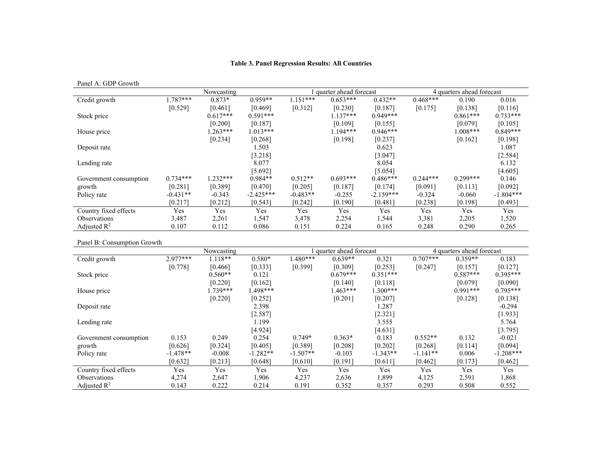#### **Table 3. Panel Regression Results: All Countries**

Panel A: GDP Growth

|                            |            | Nowcasting |             |            | quarter ahead forecast |             | 4 quarters ahead forecast |            |             |
|----------------------------|------------|------------|-------------|------------|------------------------|-------------|---------------------------|------------|-------------|
| Credit growth              | $1.787***$ | $0.873*$   | $0.959**$   | $1.151***$ | $0.653***$             | $0.432**$   | $0.468***$                | 0.190      | 0.016       |
|                            | [0.529]    | [0.461]    | [0.469]     | [0.312]    | [0.230]                | [0.187]     | [0.175]                   | [0.138]    | [0.116]     |
| Stock price                |            | $0.617***$ | $0.591***$  |            | $1.137***$             | $0.949***$  |                           | $0.861***$ | $0.733***$  |
|                            |            | [0.200]    | [0.187]     |            | [0.109]                | [0.155]     |                           | [0.079]    | [0.105]     |
| House price                |            | $.263***$  | $1.013***$  |            | $1.194***$             | $0.946***$  |                           | $008***$   | $0.849***$  |
|                            |            | [0.234]    | [0.268]     |            | [0.198]                | [0.237]     |                           | [0.162]    | [0.198]     |
| Deposit rate               |            |            | 1.503       |            |                        | 0.623       |                           |            | 1.087       |
|                            |            |            | [3.218]     |            |                        | [3.047]     |                           |            | [2.584]     |
| Lending rate               |            |            | 8.077       |            |                        | 8.054       |                           |            | 6.132       |
|                            |            |            | [5.692]     |            |                        | [5.054]     |                           |            | [4.605]     |
| Government consumption     | $0.734***$ | $1.232***$ | $0.984**$   | $0.512**$  | $0.693***$             | $0.486***$  | $0.244***$                | $0.299***$ | 0.146       |
| growth                     | [0.281]    | [0.389]    | [0.470]     | [0.205]    | [0.187]                | [0.174]     | [0.091]                   | [0.113]    | [0.092]     |
| Policy rate                | $-0.431**$ | $-0.343$   | $-2.425***$ | $-0.483**$ | $-0.255$               | $-2.159***$ | $-0.324$                  | $-0.060$   | $-1.804***$ |
|                            | [0.217]    | [0.212]    | [0.543]     | [0.242]    | [0.190]                | [0.481]     | [0.238]                   | [0.198]    | [0.493]     |
| Country fixed effects      | Yes        | Yes        | Yes         | Yes        | Yes                    | Yes         | Yes                       | Yes        | Yes         |
| <i><b>Observations</b></i> | 3,487      | 2,261      | 1,547       | 3,478      | 2,254                  | 1,544       | 3,381                     | 2,205      | 1,520       |
| Adjusted $\mathbb{R}^2$    | 0.107      | 0.112      | 0.086       | 0.151      | 0.224                  | 0.165       | 0.248                     | 0.290      | 0.265       |

Panel B: Consumption Growth

|                         |            | Nowcasting |            |            | quarter ahead forecast |            | 4 quarters ahead forecast |            |             |
|-------------------------|------------|------------|------------|------------|------------------------|------------|---------------------------|------------|-------------|
| Credit growth           | 2.977***   | $1.118**$  | $0.580*$   | $1.480***$ | $0.639**$              | 0.321      | $0.707***$                | $0.359**$  | 0.183       |
|                         | [0.778]    | [0.466]    | [0.333]    | [0.399]    | [0.309]                | [0.253]    | [0.247]                   | [0.157]    | [0.127]     |
| Stock price             |            | $0.560**$  | 0.121      |            | $0.679***$             | $0.351***$ |                           | $0.587***$ | $0.395***$  |
|                         |            | [0.220]    | [0.162]    |            | [0.140]                | [0.118]    |                           | [0.079]    | [0.090]     |
| House price             |            | $1.739***$ | 1.498***   |            | $.463***$              | $1.300***$ |                           | $0.991***$ | $0.795***$  |
|                         |            | [0.220]    | [0.252]    |            | [0.201]                | [0.207]    |                           | [0.128]    | [0.138]     |
| Deposit rate            |            |            | 2.398      |            |                        | 1.287      |                           |            | $-0.294$    |
|                         |            |            | [2.587]    |            |                        | [2.321]    |                           |            | [1.933]     |
| Lending rate            |            |            | 1.199      |            |                        | 3.555      |                           |            | 5.764       |
|                         |            |            | [4.924]    |            |                        | [4.631]    |                           |            | [3.795]     |
| Government consumption  | 0.153      | 0.249      | 0.254      | $0.749*$   | $0.363*$               | 0.183      | $0.552**$                 | 0.132      | $-0.021$    |
| growth                  | [0.626]    | [0.324]    | [0.405]    | [0.389]    | [0.208]                | [0.202]    | [0.268]                   | [0.114]    | [0.094]     |
| Policy rate             | $-1.478**$ | $-0.008$   | $-1.282**$ | $-1.507**$ | $-0.103$               | $-1.343**$ | $-1.141**$                | 0.006      | $-1.208***$ |
|                         | [0.632]    | [0.213]    | [0.648]    | [0.610]    | [0.191]                | [0.611]    | [0.462]                   | [0.173]    | [0.462]     |
| Country fixed effects   | Yes        | Yes        | Yes        | Yes        | Yes                    | Yes        | Yes                       | Yes        | Yes         |
| Observations            | 4,274      | 2,647      | 1,906      | 4,237      | 2,636                  | 1,899      | 4,125                     | 2,591      | 1,868       |
| Adjusted $\mathbb{R}^2$ | 0.143      | 0.222      | 0.214      | 0.191      | 0.352                  | 0.357      | 0.293                     | 0.508      | 0.552       |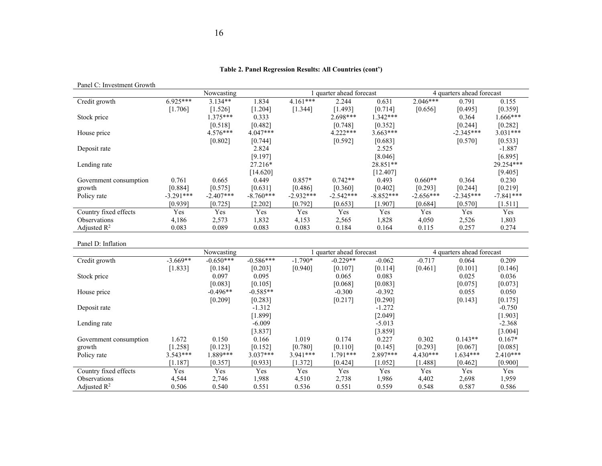#### **Table 2. Panel Regression Results: All Countries (cont')**

Panel C: Investment Growth

|                         |             | Nowcasting  |             |             | quarter ahead forecast |             |             | 4 quarters ahead forecast |             |
|-------------------------|-------------|-------------|-------------|-------------|------------------------|-------------|-------------|---------------------------|-------------|
| Credit growth           | $6.925***$  | $3.134**$   | 1.834       | $4.161***$  | 2.244                  | 0.631       | $2.046***$  | 0.791                     | 0.155       |
|                         | [1.706]     | [1.526]     | [1.204]     | [1.344]     | [1.493]                | [0.714]     | [0.656]     | [0.495]                   | [0.359]     |
| Stock price             |             | $1.375***$  | 0.333       |             | $2.698***$             | $1.342***$  |             | 0.364                     | 1.666***    |
|                         |             | [0.518]     | [0.482]     |             | [0.748]                | [0.352]     |             | [0.244]                   | [0.282]     |
| House price             |             | $4.576***$  | $4.047***$  |             | $4.222***$             | $3.663***$  |             | $-2.345***$               | $3.031***$  |
|                         |             | [0.802]     | [0.744]     |             | [0.592]                | [0.683]     |             | [0.570]                   | [0.533]     |
| Deposit rate            |             |             | 2.824       |             |                        | 2.525       |             |                           | $-1.887$    |
|                         |             |             | [9.197]     |             |                        | [8.046]     |             |                           | [6.895]     |
| Lending rate            |             |             | 27.216*     |             |                        | 28.851**    |             |                           | 29.254***   |
|                         |             |             | [14.620]    |             |                        | [12.407]    |             |                           | [9.405]     |
| Government consumption  | 0.761       | 0.665       | 0.449       | $0.857*$    | $0.742**$              | 0.493       | $0.660**$   | 0.364                     | 0.230       |
| growth                  | [0.884]     | [0.575]     | [0.631]     | [0.486]     | [0.360]                | [0.402]     | [0.293]     | [0.244]                   | [0.219]     |
| Policy rate             | $-3.291***$ | $-2.407***$ | $-8.760***$ | $-2.932***$ | $-2.542***$            | $-8.852***$ | $-2.656***$ | $-2.345***$               | $-7.841***$ |
|                         | [0.939]     | [0.725]     | [2.202]     | [0.792]     | [0.653]                | [1.907]     | [0.684]     | [0.570]                   | [1.511]     |
| Country fixed effects   | Yes         | Yes         | Yes         | Yes         | Yes                    | Yes         | Yes         | Yes                       | Yes         |
| Observations            | 4,186       | 2,573       | 1,832       | 4,153       | 2,565                  | 1,828       | 4,050       | 2,526                     | 1,803       |
| Adjusted $\mathbb{R}^2$ | 0.083       | 0.089       | 0.083       | 0.083       | 0.184                  | 0.164       | 0.115       | 0.257                     | 0.274       |

Panel D: Inflation

|                         |            | Nowcasting  |             |            | quarter ahead forecast |          |            | 4 quarters ahead forecast |            |  |
|-------------------------|------------|-------------|-------------|------------|------------------------|----------|------------|---------------------------|------------|--|
| Credit growth           | $-3.669**$ | $-0.650***$ | $-0.586***$ | $-1.790*$  | $-0.229**$             | $-0.062$ | $-0.717$   | 0.064                     | 0.209      |  |
|                         | [1.833]    | [0.184]     | [0.203]     | [0.940]    | [0.107]                | [0.114]  | [0.461]    | [0.101]                   | [0.146]    |  |
| Stock price             |            | 0.097       | 0.095       |            | 0.065                  | 0.083    |            | 0.025                     | 0.036      |  |
|                         |            | [0.083]     | [0.105]     |            | [0.068]                | [0.083]  |            | [0.075]                   | [0.073]    |  |
| House price             |            | $-0.496**$  | $-0.585**$  |            | $-0.300$               | $-0.392$ |            | 0.055                     | 0.050      |  |
|                         |            | [0.209]     | [0.283]     |            | [0.217]                | [0.290]  |            | [0.143]                   | [0.175]    |  |
| Deposit rate            |            |             | $-1.312$    |            |                        | $-1.272$ |            |                           | $-0.750$   |  |
|                         |            |             | [1.899]     |            |                        | [2.049]  |            |                           | [1.903]    |  |
| Lending rate            |            |             | $-6.009$    |            |                        | $-5.013$ |            |                           | $-2.368$   |  |
|                         |            |             | [3.837]     |            |                        | [3.859]  |            |                           | [3.004]    |  |
| Government consumption  | 1.672      | 0.150       | 0.166       | 1.019      | 0.174                  | 0.227    | 0.302      | $0.143**$                 | $0.167*$   |  |
| growth                  | [1.258]    | [0.123]     | [0.152]     | [0.780]    | [0.110]                | [0.145]  | [0.293]    | [0.067]                   | [0.085]    |  |
| Policy rate             | $3.543***$ | $.889***$   | $3.037***$  | $3.941***$ | $1.791***$             | 2.897*** | $4.430***$ | $1.634***$                | $2.410***$ |  |
|                         | [1.187]    | [0.357]     | [0.933]     | [1.372]    | [0.424]                | [1.052]  | $1.488$ ]  | [0.462]                   | [0.900]    |  |
| Country fixed effects   | Yes        | Yes         | Yes         | Yes        | Yes                    | Yes      | Yes        | Yes                       | Yes        |  |
| <b>Observations</b>     | 4,544      | 2,746       | 1,988       | 4,510      | 2,738                  | 1,986    | 4,402      | 2,698                     | 1,959      |  |
| Adjusted $\mathbb{R}^2$ | 0.506      | 0.540       | 0.551       | 0.536      | 0.551                  | 0.559    | 0.548      | 0.587                     | 0.586      |  |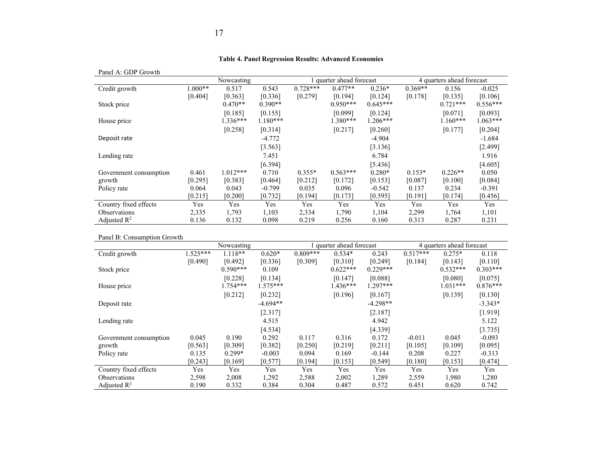#### **Table 4. Panel Regression Results: Advanced Economies**

#### Panel A: GDP Growth

| $1 \text{ and } 11. \text{ ODE} 1 \text{ of } 0.00$ |          |            |            |            |                        |            |           |                           |            |
|-----------------------------------------------------|----------|------------|------------|------------|------------------------|------------|-----------|---------------------------|------------|
|                                                     |          | Nowcasting |            |            | quarter ahead forecast |            |           | 4 quarters ahead forecast |            |
| Credit growth                                       | $.000**$ | 0.517      | 0.543      | $0.728***$ | $0.477**$              | $0.236*$   | $0.369**$ | 0.156                     | $-0.025$   |
|                                                     | [0.404]  | [0.363]    | [0.336]    | [0.279]    | [0.194]                | [0.124]    | [0.178]   | [0.135]                   | [0.106]    |
| Stock price                                         |          | $0.470**$  | $0.390**$  |            | $0.950***$             | $0.645***$ |           | $0.721***$                | $0.556***$ |
|                                                     |          | [0.185]    | [0.155]    |            | [0.099]                | [0.124]    |           | [0.071]                   | [0.093]    |
| House price                                         |          | $1.336***$ | $1.180***$ |            | 1.380***               | $1.206***$ |           | $1.160***$                | $1.063***$ |
|                                                     |          | [0.258]    | [0.314]    |            | [0.217]                | [0.260]    |           | [0.177]                   | [0.204]    |
| Deposit rate                                        |          |            | $-4.772$   |            |                        | $-4.904$   |           |                           | $-1.684$   |
|                                                     |          |            | [3.563]    |            |                        | [3.136]    |           |                           | [2.499]    |
| Lending rate                                        |          |            | 7.451      |            |                        | 6.784      |           |                           | 1.916      |
|                                                     |          |            | [6.394]    |            |                        | [5.436]    |           |                           | [4.605]    |
| Government consumption                              | 0.461    | $1.012***$ | 0.710      | $0.355*$   | $0.563***$             | $0.280*$   | $0.153*$  | $0.226**$                 | 0.050      |
| growth                                              | [0.295]  | [0.383]    | [0.464]    | [0.212]    | [0.172]                | [0.153]    | [0.087]   | [0.100]                   | [0.084]    |
| Policy rate                                         | 0.064    | 0.043      | $-0.799$   | 0.035      | 0.096                  | $-0.542$   | 0.137     | 0.234                     | $-0.391$   |
|                                                     | [0.215]  | [0.200]    | [0.732]    | [0.194]    | [0.173]                | [0.595]    | [0.191]   | [0.174]                   | [0.456]    |
| Country fixed effects                               | Yes      | Yes        | Yes        | Yes        | Yes                    | Yes        | Yes       | Yes                       | Yes        |
| Observations                                        | 2,335    | 1,793      | 1,103      | 2,334      | 1,790                  | 1,104      | 2,299     | 1,764                     | 1,101      |
| Adjusted $\mathbb{R}^2$                             | 0.136    | 0.132      | 0.098      | 0.219      | 0.256                  | 0.160      | 0.313     | 0.287                     | 0.231      |

#### Panel B: Consumption Growth

| L ALLET D. CONSUMPTION OF OWNER |           |            |            |            |                        |            |            |                           |            |
|---------------------------------|-----------|------------|------------|------------|------------------------|------------|------------|---------------------------|------------|
|                                 |           | Nowcasting |            |            | quarter ahead forecast |            |            | 4 quarters ahead forecast |            |
| Credit growth                   | $.525***$ | $1.118**$  | $0.620*$   | $0.809***$ | $0.534*$               | 0.243      | $0.517***$ | $0.275*$                  | 0.118      |
|                                 | [0.490]   | [0.492]    | [0.336]    | [0.309]    | [0.310]                | [0.249]    | [0.184]    | [0.143]                   | [0.110]    |
| Stock price                     |           | $0.590***$ | 0.109      |            | $0.622***$             | $0.229***$ |            | $0.532***$                | $0.303***$ |
|                                 |           | [0.228]    | [0.134]    |            | [0.147]                | [0.088]    |            | [0.080]                   | [0.075]    |
| House price                     |           | $1.754***$ | $1.575***$ |            | 1.436***               | $1.297***$ |            | $1.031***$                | $0.876***$ |
|                                 |           | [0.212]    | [0.232]    |            | [0.196]                | [0.167]    |            | [0.139]                   | [0.130]    |
| Deposit rate                    |           |            | $-4.694**$ |            |                        | $-4.298**$ |            |                           | $-3.343*$  |
|                                 |           |            | [2.317]    |            |                        | [2.187]    |            |                           | [1.919]    |
| Lending rate                    |           |            | 4.515      |            |                        | 4.942      |            |                           | 5.122      |
|                                 |           |            | [4.534]    |            |                        | [4.339]    |            |                           | [3.735]    |
| Government consumption          | 0.045     | 0.190      | 0.292      | 0.117      | 0.316                  | 0.172      | $-0.011$   | 0.045                     | $-0.093$   |
| growth                          | [0.563]   | [0.309]    | [0.382]    | [0.250]    | [0.219]                | [0.211]    | [0.105]    | [0.109]                   | [0.095]    |
| Policy rate                     | 0.135     | $0.299*$   | $-0.003$   | 0.094      | 0.169                  | $-0.144$   | 0.208      | 0.227                     | $-0.313$   |
|                                 | [0.243]   | [0.169]    | [0.577]    | [0.194]    | [0.153]                | [0.549]    | [0.180]    | [0.153]                   | [0.474]    |
| Country fixed effects           | Yes       | Yes        | Yes        | Yes        | Yes                    | Yes        | Yes        | Yes                       | Yes        |
| <i><b>Observations</b></i>      | 2,598     | 2,008      | 1,292      | 2,588      | 2,002                  | 1,289      | 2,559      | 1,980                     | 1,280      |
| Adjusted $\mathbb{R}^2$         | 0.190     | 0.332      | 0.384      | 0.304      | 0.487                  | 0.572      | 0.451      | 0.620                     | 0.742      |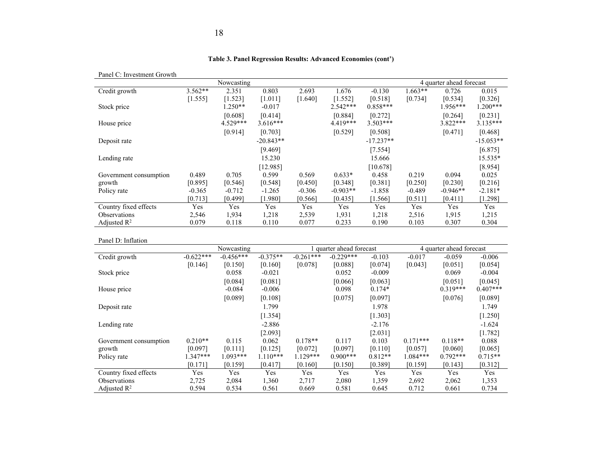| Panel C. Invesunent Glowth   |                      |                               |                              |                  |                                |                                   |                      |                              |                                |
|------------------------------|----------------------|-------------------------------|------------------------------|------------------|--------------------------------|-----------------------------------|----------------------|------------------------------|--------------------------------|
|                              |                      | Nowcasting                    |                              |                  |                                |                                   |                      | 4 quarter ahead forecast     |                                |
| Credit growth<br>Stock price | $3.562**$<br>[1.555] | 2.351<br>[1.523]<br>$1.250**$ | 0.803<br>[1.011]<br>$-0.017$ | 2.693<br>[1.640] | 1.676<br>[1.552]<br>$2.542***$ | $-0.130$<br>[0.518]<br>$0.858***$ | $1.663**$<br>[0.734] | 0.726<br>[0.534]<br>1.956*** | 0.015<br>[0.326]<br>$1.200***$ |
| House price                  |                      | [0.608]<br>$4.529***$         | [0.414]<br>$3.616***$        |                  | [0.884]<br>$4.419***$          | [0.272]<br>$3.503***$             |                      | [0.264]<br>$3.822***$        | [0.231]<br>$3.135***$          |
|                              |                      | [0.914]                       | [0.703]                      |                  | [0.529]                        | [0.508]                           |                      | [0.471]                      | [0.468]                        |
| Deposit rate                 |                      |                               | $-20.843**$                  |                  |                                | $-17.237**$                       |                      |                              | $-15.053**$                    |
|                              |                      |                               | [9.469]                      |                  |                                | [7.554]                           |                      |                              | [6.875]                        |
| Lending rate                 |                      |                               | 15.230                       |                  |                                | 15.666                            |                      |                              | 15.535*                        |
|                              |                      |                               | [12.985]                     |                  |                                | [10.678]                          |                      |                              | [8.954]                        |
| Government consumption       | 0.489                | 0.705                         | 0.599                        | 0.569            | $0.633*$                       | 0.458                             | 0.219                | 0.094                        | 0.025                          |
| growth                       | [0.895]              | [0.546]                       | [0.548]                      | [0.450]          | [0.348]                        | [0.381]                           | [0.250]              | [0.230]                      | [0.216]                        |
| Policy rate                  | $-0.365$             | $-0.712$                      | $-1.265$                     | $-0.306$         | $-0.903**$                     | $-1.858$                          | $-0.489$             | $-0.946**$                   | $-2.181*$                      |
|                              | [0.713]              | [0.499]                       | $1.980$ ]                    | [0.566]          | [0.435]                        | [1.566]                           | [0.511]              | [0.411]                      | [1.298]                        |
| Country fixed effects        | Yes                  | Yes                           | Yes                          | Yes              | Yes                            | Yes                               | Yes                  | Yes                          | Yes                            |
| Observations                 | 2,546                | 1,934                         | 1,218                        | 2,539            | 1,931                          | 1,218                             | 2,516                | 1,915                        | 1,215                          |
| Adjusted $R^2$               | 0.079                | 0.118                         | 0.110                        | 0.077            | 0.233                          | 0.190                             | 0.103                | 0.307                        | 0.304                          |

#### **Table 3. Panel Regression Results: Advanced Economies (cont')**

Panel C: Investment Growth

#### Panel D: Inflation

| ғанен іл. интасион      |             |             |            |             |                        |           |            |                          |            |
|-------------------------|-------------|-------------|------------|-------------|------------------------|-----------|------------|--------------------------|------------|
|                         |             | Nowcasting  |            |             | quarter ahead forecast |           |            | 4 quarter ahead forecast |            |
| Credit growth           | $-0.622***$ | $-0.456***$ | $-0.375**$ | $-0.261***$ | $-0.229***$            | $-0.103$  | $-0.017$   | $-0.059$                 | $-0.006$   |
|                         | [0.146]     | [0.150]     | [0.160]    | [0.078]     | [0.088]                | [0.074]   | [0.043]    | [0.051]                  | [0.054]    |
| Stock price             |             | 0.058       | $-0.021$   |             | 0.052                  | $-0.009$  |            | 0.069                    | $-0.004$   |
|                         |             | [0.084]     | [0.081]    |             | [0.066]                | [0.063]   |            | [0.051]                  | [0.045]    |
| House price             |             | $-0.084$    | $-0.006$   |             | 0.098                  | $0.174*$  |            | $0.319***$               | $0.407***$ |
|                         |             | [0.089]     | [0.108]    |             | [0.075]                | [0.097]   |            | [0.076]                  | [0.089]    |
| Deposit rate            |             |             | 1.799      |             |                        | 1.978     |            |                          | 1.749      |
|                         |             |             | [1.354]    |             |                        | [1.303]   |            |                          | [1.250]    |
| Lending rate            |             |             | $-2.886$   |             |                        | $-2.176$  |            |                          | $-1.624$   |
|                         |             |             | [2.093]    |             |                        | [2.031]   |            |                          | [1.782]    |
| Government consumption  | $0.210**$   | 0.115       | 0.062      | $0.178**$   | 0.117                  | 0.103     | $0.171***$ | $0.118**$                | 0.088      |
| growth                  | [0.097]     | [0.111]     | [0.125]    | [0.072]     | [0.097]                | [0.110]   | [0.057]    | [0.060]                  | [0.065]    |
| Policy rate             | $1.347***$  | $1.093***$  | $1.110***$ | $1.129***$  | $0.900***$             | $0.812**$ | $1.084***$ | $0.792***$               | $0.715**$  |
|                         | [0.171]     | [0.159]     | [0.417]    | [0.160]     | [0.150]                | [0.389]   | [0.159]    | [0.143]                  | [0.312]    |
| Country fixed effects   | Yes         | Yes         | Yes        | Yes         | Yes                    | Yes       | Yes        | Yes                      | Yes        |
| <b>Observations</b>     | 2,725       | 2,084       | 1,360      | 2,717       | 2,080                  | 1,359     | 2,692      | 2,062                    | 1,353      |
| Adjusted $\mathbb{R}^2$ | 0.594       | 0.534       | 0.561      | 0.669       | 0.581                  | 0.645     | 0.712      | 0.661                    | 0.734      |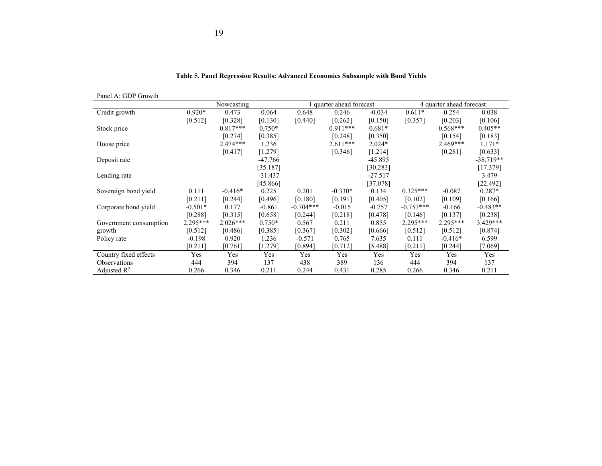| Panel A: GDP Growth    |           |            |           |             |                        |           |             |                          |             |
|------------------------|-----------|------------|-----------|-------------|------------------------|-----------|-------------|--------------------------|-------------|
|                        |           | Nowcasting |           |             | quarter ahead forecast |           |             | 4 quarter ahead forecast |             |
| Credit growth          | $0.920*$  | 0.473      | 0.064     | 0.648       | 0.246                  | $-0.034$  | $0.611*$    | 0.254                    | 0.038       |
|                        | [0.512]   | [0.328]    | [0.130]   | [0.440]     | [0.262]                | [0.150]   | [0.357]     | [0.203]                  | [0.106]     |
| Stock price            |           | $0.817***$ | $0.750*$  |             | $0.911***$             | $0.681*$  |             | $0.568***$               | $0.405**$   |
|                        |           | [0.274]    | [0.385]   |             | [0.248]                | [0.350]   |             | [0.154]                  | [0.183]     |
| House price            |           | $2.474***$ | 1.236     |             | $2.611***$             | $2.024*$  |             | $2.469***$               | $1.171*$    |
|                        |           | [0.417]    | [1.279]   |             | [0.346]                | [1.214]   |             | [0.281]                  | [0.633]     |
| Deposit rate           |           |            | $-47.766$ |             |                        | $-45.895$ |             |                          | $-38.719**$ |
|                        |           |            | [35.187]  |             |                        | [30.283]  |             |                          | [17.379]    |
| Lending rate           |           |            | $-31.437$ |             |                        | $-27.517$ |             |                          | 3.479       |
|                        |           |            | [45.866]  |             |                        | [37.078]  |             |                          | [22.492]    |
| Sovereign bond yield   | 0.111     | $-0.416*$  | 0.225     | 0.201       | $-0.330*$              | 0.134     | $0.325***$  | $-0.087$                 | $0.287*$    |
|                        | [0.211]   | [0.244]    | [0.496]   | [0.180]     | [0.191]                | [0.405]   | [0.102]     | [0.109]                  | [0.166]     |
| Corporate bond yield   | $-0.501*$ | 0.177      | $-0.861$  | $-0.704***$ | $-0.015$               | $-0.757$  | $-0.757***$ | $-0.166$                 | $-0.483**$  |
|                        | [0.288]   | [0.315]    | [0.658]   | [0.244]     | [0.218]                | [0.478]   | [0.146]     | [0.137]                  | [0.238]     |
| Government consumption | 2.295***  | $2.026***$ | $0.750*$  | 0.567       | 0.211                  | 0.855     | $2.295***$  | $2.295***$               | $3.429***$  |
| growth                 | [0.512]   | [0.486]    | [0.385]   | [0.367]     | [0.302]                | [0.666]   | [0.512]     | [0.512]                  | [0.874]     |
| Policy rate            | $-0.198$  | 0.920      | 1.236     | $-0.571$    | 0.765                  | 7.635     | 0.111       | $-0.416*$                | 6.599       |
|                        | [0.211]   | [0.761]    | [1.279]   | [0.894]     | [0.712]                | [5.488]   | [0.211]     | [0.244]                  | [7.069]     |
| Country fixed effects  | Yes       | Yes        | Yes       | Yes         | Yes                    | Yes       | Yes         | Yes                      | Yes         |
| <b>Observations</b>    | 444       | 394        | 137       | 438         | 389                    | 136       | 444         | 394                      | 137         |
| Adjusted $R^2$         | 0.266     | 0.346      | 0.211     | 0.244       | 0.431                  | 0.285     | 0.266       | 0.346                    | 0.211       |

#### **Table 5. Panel Regression Results: Advanced Economies Subsample with Bond Yields**

 19 19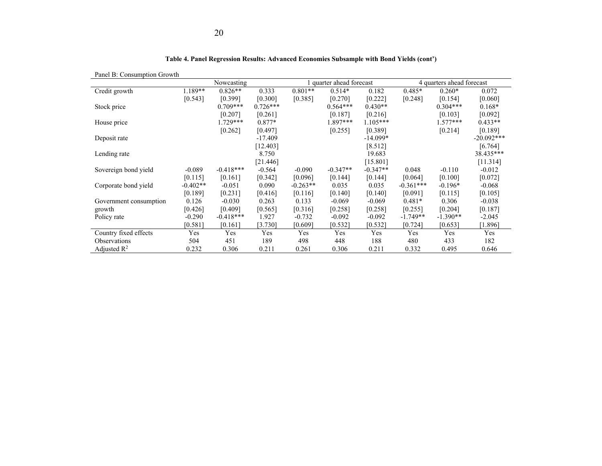| Panel B: Consumption Growth |            |             |            |            |                        |            |             |                           |              |
|-----------------------------|------------|-------------|------------|------------|------------------------|------------|-------------|---------------------------|--------------|
|                             |            | Nowcasting  |            |            | quarter ahead forecast |            |             | 4 quarters ahead forecast |              |
| Credit growth               | 1.189**    | $0.826**$   | 0.333      | $0.801**$  | $0.514*$               | 0.182      | $0.485*$    | $0.260*$                  | 0.072        |
|                             | [0.543]    | [0.399]     | [0.300]    | [0.385]    | [0.270]                | [0.222]    | [0.248]     | [0.154]                   | [0.060]      |
| Stock price                 |            | $0.709***$  | $0.726***$ |            | $0.564***$             | $0.430**$  |             | $0.304***$                | $0.168*$     |
|                             |            | [0.207]     | [0.261]    |            | [0.187]                | [0.216]    |             | [0.103]                   | [0.092]      |
| House price                 |            | $1.729***$  | $0.877*$   |            | 1.897***               | $1.105***$ |             | $1.577***$                | $0.433**$    |
|                             |            | [0.262]     | [0.497]    |            | [0.255]                | [0.389]    |             | [0.214]                   | [0.189]      |
| Deposit rate                |            |             | $-17.409$  |            |                        | $-14.099*$ |             |                           | $-20.092***$ |
|                             |            |             | [12.403]   |            |                        | [8.512]    |             |                           | [6.764]      |
| Lending rate                |            |             | 8.750      |            |                        | 19.683     |             |                           | 38.435***    |
|                             |            |             | [21.446]   |            |                        | [15.801]   |             |                           | [11.314]     |
| Sovereign bond yield        | $-0.089$   | $-0.418***$ | $-0.564$   | $-0.090$   | $-0.347**$             | $-0.347**$ | 0.048       | $-0.110$                  | $-0.012$     |
|                             | [0.115]    | [0.161]     | [0.342]    | [0.096]    | [0.144]                | [0.144]    | [0.064]     | [0.100]                   | [0.072]      |
| Corporate bond yield        | $-0.402**$ | $-0.051$    | 0.090      | $-0.263**$ | 0.035                  | 0.035      | $-0.361***$ | $-0.196*$                 | $-0.068$     |
|                             | [0.189]    | [0.231]     | [0.416]    | [0.116]    | [0.140]                | [0.140]    | [0.091]     | [0.115]                   | [0.105]      |
| Government consumption      | 0.126      | $-0.030$    | 0.263      | 0.133      | $-0.069$               | $-0.069$   | $0.481*$    | 0.306                     | $-0.038$     |
| growth                      | [0.426]    | [0.409]     | [0.565]    | [0.316]    | [0.258]                | [0.258]    | [0.255]     | [0.204]                   | [0.187]      |
| Policy rate                 | $-0.290$   | $-0.418***$ | 1.927      | $-0.732$   | $-0.092$               | $-0.092$   | $-1.749**$  | $-1.390**$                | $-2.045$     |
|                             | [0.581]    | [0.161]     | [3.730]    | [0.609]    | [0.532]                | [0.532]    | [0.724]     | [0.653]                   | [1.896]      |
| Country fixed effects       | Yes        | Yes         | Yes        | Yes        | Yes                    | Yes        | Yes         | Yes                       | Yes          |
| <b>Observations</b>         | 504        | 451         | 189        | 498        | 448                    | 188        | 480         | 433                       | 182          |
| Adjusted $\mathbb{R}^2$     | 0.232      | 0.306       | 0.211      | 0.261      | 0.306                  | 0.211      | 0.332       | 0.495                     | 0.646        |

**Table 4. Panel Regression Results: Advanced Economies Subsample with Bond Yields (cont')**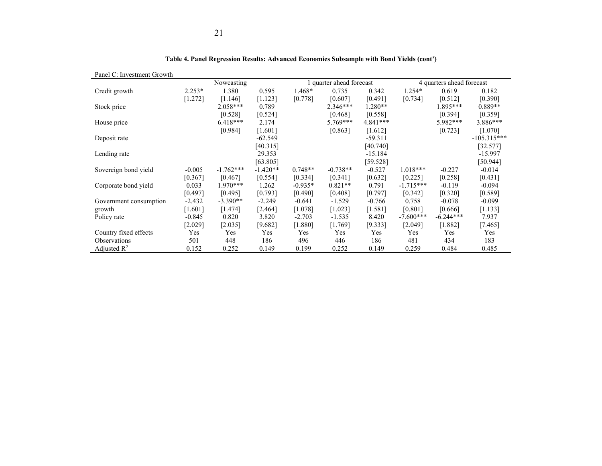| Panel C: Investment Growth |          |             |            |           |                        |            |             |                           |               |
|----------------------------|----------|-------------|------------|-----------|------------------------|------------|-------------|---------------------------|---------------|
|                            |          | Nowcasting  |            |           | quarter ahead forecast |            |             | 4 quarters ahead forecast |               |
| Credit growth              | $2.253*$ | 1.380       | 0.595      | 1.468*    | 0.735                  | 0.342      | 1.254*      | 0.619                     | 0.182         |
|                            | [1.272]  | [1.146]     | [1.123]    | [0.778]   | [0.607]                | [0.491]    | [0.734]     | [0.512]                   | [0.390]       |
| Stock price                |          | $2.058***$  | 0.789      |           | $2.346***$             | $1.280**$  |             | 1.895***                  | $0.889**$     |
|                            |          | [0.528]     | [0.524]    |           | [0.468]                | [0.558]    |             | [0.394]                   | [0.359]       |
| House price                |          | $6.418***$  | 2.174      |           | $5.769***$             | $4.841***$ |             | 5.982***                  | $3.886***$    |
|                            |          | [0.984]     | [1.601]    |           | [0.863]                | [1.612]    |             | [0.723]                   | [1.070]       |
| Deposit rate               |          |             | $-62.549$  |           |                        | $-59.311$  |             |                           | $-105.315***$ |
|                            |          |             | [40.315]   |           |                        | [40.740]   |             |                           | [32.577]      |
| Lending rate               |          |             | 29.353     |           |                        | $-15.184$  |             |                           | $-15.997$     |
|                            |          |             | [63.805]   |           |                        | [59.528]   |             |                           | [50.944]      |
| Sovereign bond yield       | $-0.005$ | $-1.762***$ | $-1.420**$ | $0.748**$ | $-0.738**$             | $-0.527$   | $1.018***$  | $-0.227$                  | $-0.014$      |
|                            | [0.367]  | [0.467]     | [0.554]    | [0.334]   | [0.341]                | [0.632]    | [0.225]     | [0.258]                   | [0.431]       |
| Corporate bond yield       | 0.033    | $1.970***$  | 1.262      | $-0.935*$ | $0.821**$              | 0.791      | $-1.715***$ | $-0.119$                  | $-0.094$      |
|                            | [0.497]  | [0.495]     | [0.793]    | [0.490]   | [0.408]                | [0.797]    | [0.342]     | [0.320]                   | [0.589]       |
| Government consumption     | $-2.432$ | $-3.390**$  | $-2.249$   | $-0.641$  | $-1.529$               | $-0.766$   | 0.758       | $-0.078$                  | $-0.099$      |
| growth                     | [1.601]  | [1.474]     | [2.464]    | [1.078]   | [1.023]                | [1.581]    | [0.801]     | [0.666]                   | [1.133]       |
| Policy rate                | $-0.845$ | 0.820       | 3.820      | $-2.703$  | $-1.535$               | 8.420      | $-7.600***$ | $-6.244***$               | 7.937         |
|                            | [2.029]  | [2.035]     | [9.682]    | [1.880]   | [1.769]                | [9.333]    | $[2.049]$   | [1.882]                   | [7.465]       |
| Country fixed effects      | Yes      | Yes         | Yes        | Yes       | Yes                    | Yes        | Yes         | Yes                       | Yes           |
| Observations               | 501      | 448         | 186        | 496       | 446                    | 186        | 481         | 434                       | 183           |
| Adjusted $\mathbb{R}^2$    | 0.152    | 0.252       | 0.149      | 0.199     | 0.252                  | 0.149      | 0.259       | 0.484                     | 0.485         |

**Table 4. Panel Regression Results: Advanced Economies Subsample with Bond Yields (cont')**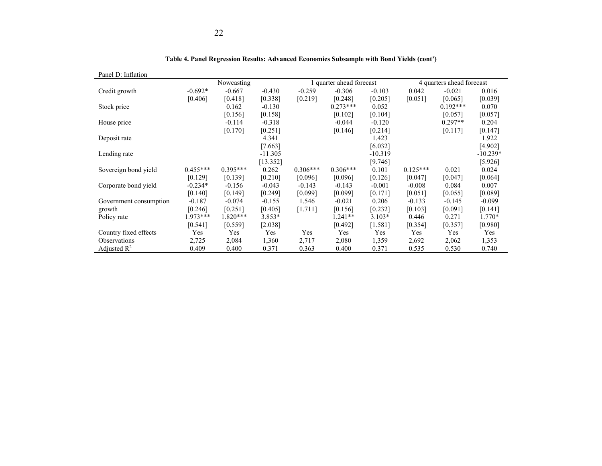| Panel D: Inflation      |            |            |           |            |                        |           |            |                           |            |
|-------------------------|------------|------------|-----------|------------|------------------------|-----------|------------|---------------------------|------------|
|                         |            | Nowcasting |           |            | quarter ahead forecast |           |            | 4 quarters ahead forecast |            |
| Credit growth           | $-0.692*$  | $-0.667$   | $-0.430$  | $-0.259$   | $-0.306$               | $-0.103$  | 0.042      | $-0.021$                  | 0.016      |
|                         | [0.406]    | [0.418]    | [0.338]   | [0.219]    | [0.248]                | [0.205]   | [0.051]    | [0.065]                   | [0.039]    |
| Stock price             |            | 0.162      | $-0.130$  |            | $0.273***$             | 0.052     |            | $0.192***$                | 0.070      |
|                         |            | [0.156]    | [0.158]   |            | [0.102]                | [0.104]   |            | [0.057]                   | [0.057]    |
| House price             |            | $-0.114$   | $-0.318$  |            | $-0.044$               | $-0.120$  |            | $0.297**$                 | 0.204      |
|                         |            | [0.170]    | [0.251]   |            | [0.146]                | [0.214]   |            | [0.117]                   | [0.147]    |
| Deposit rate            |            |            | 4.341     |            |                        | 1.423     |            |                           | 1.922      |
|                         |            |            | [7.663]   |            |                        | [6.032]   |            |                           | [4.902]    |
| Lending rate            |            |            | $-11.305$ |            |                        | $-10.319$ |            |                           | $-10.239*$ |
|                         |            |            | [13.352]  |            |                        | [9.746]   |            |                           | [5.926]    |
| Sovereign bond yield    | $0.455***$ | $0.395***$ | 0.262     | $0.306***$ | $0.306***$             | 0.101     | $0.125***$ | 0.021                     | 0.024      |
|                         | [0.129]    | [0.139]    | [0.210]   | [0.096]    | [0.096]                | [0.126]   | [0.047]    | [0.047]                   | [0.064]    |
| Corporate bond yield    | $-0.234*$  | $-0.156$   | $-0.043$  | $-0.143$   | $-0.143$               | $-0.001$  | $-0.008$   | 0.084                     | 0.007      |
|                         | [0.140]    | [0.149]    | [0.249]   | [0.099]    | [0.099]                | [0.171]   | [0.051]    | [0.055]                   | [0.089]    |
| Government consumption  | $-0.187$   | $-0.074$   | $-0.155$  | 1.546      | $-0.021$               | 0.206     | $-0.133$   | $-0.145$                  | $-0.099$   |
| growth                  | [0.246]    | [0.251]    | [0.405]   | [1.711]    | [0.156]                | [0.232]   | [0.103]    | [0.091]                   | [0.141]    |
| Policy rate             | 1.973***   | $1.820***$ | 3.853*    |            | $1.241**$              | $3.103*$  | 0.446      | 0.271                     | $1.770*$   |
|                         | [0.541]    | [0.559]    | [2.038]   |            | [0.492]                | [1.581]   | [0.354]    | [0.357]                   | [0.980]    |
| Country fixed effects   | Yes        | Yes        | Yes       | Yes        | Yes                    | Yes       | Yes        | Yes                       | Yes        |
| Observations            | 2,725      | 2,084      | 1,360     | 2,717      | 2,080                  | 1,359     | 2,692      | 2,062                     | 1,353      |
| Adjusted $\mathbb{R}^2$ | 0.409      | 0.400      | 0.371     | 0.363      | 0.400                  | 0.371     | 0.535      | 0.530                     | 0.740      |

**Table 4. Panel Regression Results: Advanced Economies Subsample with Bond Yields (cont')**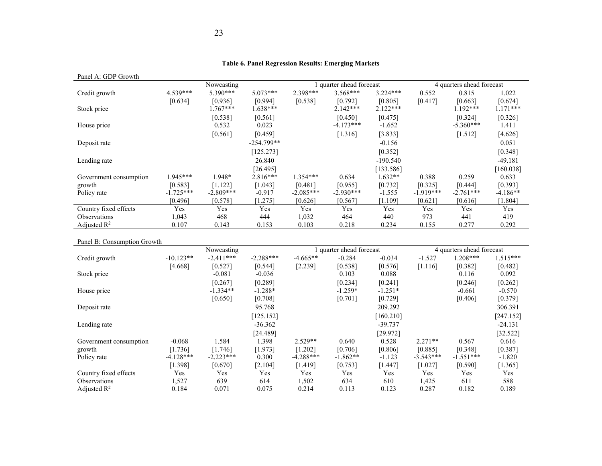#### **Table 6. Panel Regression Results: Emerging Markets**

Panel A: GDP Growth

|                        |             | Nowcasting  |              |             | quarter ahead forecast |            | 4 quarters ahead forecast |             |            |
|------------------------|-------------|-------------|--------------|-------------|------------------------|------------|---------------------------|-------------|------------|
| Credit growth          | 4.539***    | 5.390***    | $5.073***$   | 2.398***    | $3.568***$             | $3.224***$ | 0.552                     | 0.815       | 1.022      |
|                        | [0.634]     | [0.936]     | [0.994]      | [0.538]     | [0.792]                | [0.805]    | [0.417]                   | [0.663]     | [0.674]    |
| Stock price            |             | $.767***$   | $1.638***$   |             | $2.142***$             | $2.122***$ |                           | $1.192***$  | $1.171***$ |
|                        |             | [0.538]     | [0.561]      |             | [0.450]                | [0.475]    |                           | [0.324]     | [0.326]    |
| House price            |             | 0.532       | 0.023        |             | $-4.173***$            | $-1.652$   |                           | $-5.360***$ | 1.411      |
|                        |             | [0.561]     | [0.459]      |             | [1.316]                | [3.833]    |                           | [1.512]     | [4.626]    |
| Deposit rate           |             |             | $-254.799**$ |             |                        | $-0.156$   |                           |             | 0.051      |
|                        |             |             | [125.273]    |             |                        | [0.352]    |                           |             | [0.348]    |
| Lending rate           |             |             | 26.840       |             |                        | $-190.540$ |                           |             | $-49.181$  |
|                        |             |             | [26.495]     |             |                        | [133.586]  |                           |             | [160.038]  |
| Government consumption | 1.945***    | 1.948*      | $2.816***$   | $1.354***$  | 0.634                  | $1.632**$  | 0.388                     | 0.259       | 0.633      |
| growth                 | [0.583]     | [1.122]     | [1.043]      | [0.481]     | [0.955]                | [0.732]    | [0.325]                   | [0.444]     | [0.393]    |
| Policy rate            | $-1.725***$ | $-2.809***$ | $-0.917$     | $-2.085***$ | $-2.930***$            | $-1.555$   | $-1.919***$               | $-2.761***$ | $-4.186**$ |
|                        | [0.496]     | [0.578]     | [1.275]      | [0.626]     | [0.567]                | [1.109]    | [0.621]                   | [0.616]     | [1.804]    |
| Country fixed effects  | Yes         | Yes         | Yes          | Yes         | Yes                    | Yes        | Yes                       | Yes         | Yes        |
| <b>Observations</b>    | 1,043       | 468         | 444          | 1,032       | 464                    | 440        | 973                       | 441         | 419        |
| Adjusted $R^2$         | 0.107       | 0.143       | 0.153        | 0.103       | 0.218                  | 0.234      | 0.155                     | 0.277       | 0.292      |

#### Panel B: Consumption Growth

|                            |             | Nowcasting  |             |             | quarter ahead forecast |           |             | 4 quarters ahead forecast |            |
|----------------------------|-------------|-------------|-------------|-------------|------------------------|-----------|-------------|---------------------------|------------|
| Credit growth              | $-10.123**$ | $-2.411***$ | $-2.288***$ | $-4.665**$  | $-0.284$               | $-0.034$  | $-1.527$    | $1.208***$                | $1.515***$ |
|                            | [4.668]     | [0.527]     | [0.544]     | [2.239]     | [0.538]                | [0.576]   | [1.116]     | [0.382]                   | [0.482]    |
| Stock price                |             | $-0.081$    | $-0.036$    |             | 0.103                  | 0.088     |             | 0.116                     | 0.092      |
|                            |             | [0.267]     | [0.289]     |             | [0.234]                | [0.241]   |             | [0.246]                   | [0.262]    |
| House price                |             | $-1.334**$  | $-1.288*$   |             | $-1.259*$              | $-1.251*$ |             | $-0.661$                  | $-0.570$   |
|                            |             | [0.650]     | [0.708]     |             | [0.701]                | [0.729]   |             | [0.406]                   | [0.379]    |
| Deposit rate               |             |             | 95.768      |             |                        | 209.292   |             |                           | 306.391    |
|                            |             |             | [125.152]   |             |                        | [160.210] |             |                           | [247.152]  |
| Lending rate               |             |             | $-36.362$   |             |                        | $-39.737$ |             |                           | $-24.131$  |
|                            |             |             | [24.489]    |             |                        | [29.972]  |             |                           | [32.522]   |
| Government consumption     | $-0.068$    | 1.584       | 1.398       | $2.529**$   | 0.640                  | 0.528     | $2.271**$   | 0.567                     | 0.616      |
| growth                     | [1.736]     | [1.746]     | [1.973]     | [1.202]     | [0.706]                | [0.806]   | [0.885]     | [0.348]                   | [0.387]    |
| Policy rate                | $-4.128***$ | $-2.223***$ | 0.300       | $-4.288***$ | $-1.862**$             | $-1.123$  | $-3.543***$ | $-1.551***$               | $-1.820$   |
|                            | [1.398]     | [0.670]     | [2.104]     | [1.419]     | [0.753]                | [1.447]   | [1.027]     | [0.590]                   | [1.365]    |
| Country fixed effects      | Yes         | Yes         | Yes         | Yes         | <b>Yes</b>             | Yes       | Yes         | Yes                       | Yes        |
| <i><b>Observations</b></i> | 1,527       | 639         | 614         | 1,502       | 634                    | 610       | 1,425       | 611                       | 588        |
| Adjusted $\mathbb{R}^2$    | 0.184       | 0.071       | 0.075       | 0.214       | 0.113                  | 0.123     | 0.287       | 0.182                     | 0.189      |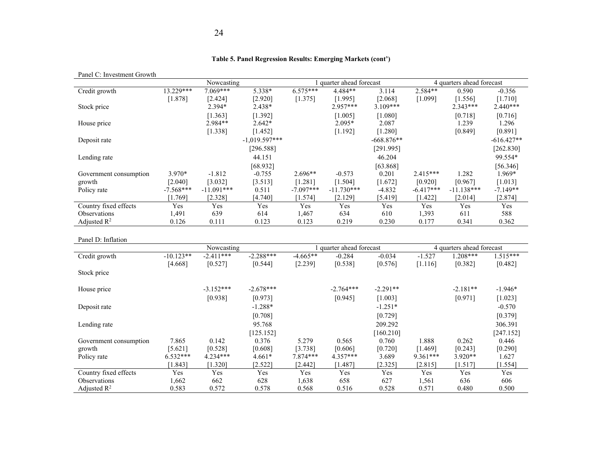#### **Table 5. Panel Regression Results: Emerging Markets (cont')**

| Panel C. Investment Crowin |             | Nowcasting                |                 |             | 1 quarter ahead forecast             |              |             | 4 quarters ahead forecast               |              |
|----------------------------|-------------|---------------------------|-----------------|-------------|--------------------------------------|--------------|-------------|-----------------------------------------|--------------|
| Credit growth              | 13.229***   | 7.069***                  | 5.338*          | $6.575***$  | 4.484**                              | 3.114        | $2.584**$   | 0.590                                   | $-0.356$     |
|                            | [1.878]     | [2.424]                   | [2.920]         | [1.375]     | [1.995]                              | [2.068]      | [1.099]     | [1.556]                                 | [1.710]      |
| Stock price                |             | 2.394*                    | 2.438*          |             | 2.957***                             | $3.109***$   |             | $2.343***$                              | $2.440***$   |
|                            |             | [1.363]                   | [1.392]         |             | [1.005]                              | [1.080]      |             | [0.718]                                 | [0.716]      |
| House price                |             | 2.984**                   | $2.642*$        |             | $2.095*$                             | 2.087        |             | 1.239                                   | 1.296        |
|                            |             | [1.338]                   | [1.452]         |             | [1.192]                              | [1.280]      |             | [0.849]                                 | [0.891]      |
| Deposit rate               |             |                           | $-1,019.597***$ |             |                                      | $-668.876**$ |             |                                         | $-616.427**$ |
|                            |             |                           | [296.588]       |             |                                      | [291.995]    |             |                                         | [262.830]    |
| Lending rate               |             |                           | 44.151          |             |                                      | 46.204       |             |                                         | 99.554*      |
|                            |             |                           | [68.932]        |             |                                      | [63.868]     |             |                                         | [56.346]     |
| Government consumption     | 3.970*      | $-1.812$                  | $-0.755$        | $2.696**$   | $-0.573$                             | 0.201        | $2.415***$  | 1.282                                   | 1.969*       |
| growth                     | [2.040]     | [3.032]                   | [3.513]         | [1.281]     | [1.504]                              | [1.672]      | [0.920]     | [0.967]                                 | [1.013]      |
| Policy rate                | $-7.568***$ | $-11.091***$              | 0.511           | $-7.097***$ | $-11.730***$                         | $-4.832$     | $-6.417***$ | $-11.138***$                            | $-7.149**$   |
|                            | [1.769]     | [2.328]                   | [4.740]         | [1.574]     | [2.129]                              | [5.419]      | [1.422]     | [2.014]                                 | [2.874]      |
| Country fixed effects      | Yes         | Yes                       | Yes             | Yes         | Yes                                  | Yes          | Yes         | Yes                                     | Yes          |
| Observations               | 1,491       | 639                       | 614             | 1,467       | 634                                  | 610          | 1,393       | 611                                     | 588          |
| Adjusted $\mathbb{R}^2$    | 0.126       | 0.111                     | 0.123           | 0.123       | 0.219                                | 0.230        | 0.177       | 0.341                                   | 0.362        |
|                            |             |                           |                 |             |                                      |              |             |                                         |              |
| Panel D: Inflation         |             |                           |                 |             |                                      |              |             |                                         |              |
| Credit growth              | $-10.123**$ | Nowcasting<br>$-2.411***$ | $-2.288***$     | $-4.665**$  | 1 quarter ahead forecast<br>$-0.284$ | $-0.034$     | $-1.527$    | 4 quarters ahead forecast<br>$1.208***$ | $1.515***$   |
|                            | [4.668]     | [0.527]                   | [0.544]         | [2.239]     | [0.538]                              | [0.576]      | [1.116]     | [0.382]                                 | [0.482]      |
|                            |             |                           |                 |             |                                      |              |             |                                         |              |
| Stock price                |             |                           |                 |             |                                      |              |             |                                         |              |
| House price                |             | $-3.152***$               | $-2.678***$     |             | $-2.764***$                          | $-2.291**$   |             | $-2.181**$                              | $-1.946*$    |
|                            |             | [0.938]                   | [0.973]         |             | [0.945]                              | [1.003]      |             | [0.971]                                 | [1.023]      |
| Deposit rate               |             |                           | $-1.288*$       |             |                                      | $-1.251*$    |             |                                         | $-0.570$     |
|                            |             |                           | [0.708]         |             |                                      | [0.729]      |             |                                         | [0.379]      |
| Lending rate               |             |                           | 95.768          |             |                                      | 209.292      |             |                                         | 306.391      |
|                            |             |                           | [125.152]       |             |                                      | [160.210]    |             |                                         | [247.152]    |
| Government consumption     | 7.865       | 0.142                     | 0.376           | 5.279       | 0.565                                | 0.760        | 1.888       | 0.262                                   | 0.446        |
| growth                     | [5.621]     | [0.528]                   | [0.608]         | [3.738]     | [0.606]                              | [0.720]      | [1.469]     | [0.243]                                 | [0.290]      |
| Policy rate                | $6.532***$  | $4.234***$                | $4.661*$        | 7.874 ***   | $4.357***$                           | 3.689        | 9.361***    | $3.920**$                               | 1.627        |
|                            | [1.843]     | [1.320]                   | [2.522]         | [2.442]     | [1.487]                              | [2.325]      | [2.815]     | [1.517]                                 | [1.554]      |
| Country fixed effects      | Yes         | Yes                       | Yes             | Yes         | Yes                                  | Yes          | Yes         | Yes                                     | Yes          |
| Observations               | 1,662       | 662                       | 628             | 1,638       | 658                                  | 627          | 1,561       | 636                                     | 606          |
| Adjusted $\mathbb{R}^2$    | 0.583       | 0.572                     | 0.578           | 0.568       | 0.516                                | 0.528        | 0.571       | 0.480                                   | 0.500        |

#### Panel C: Investment Growth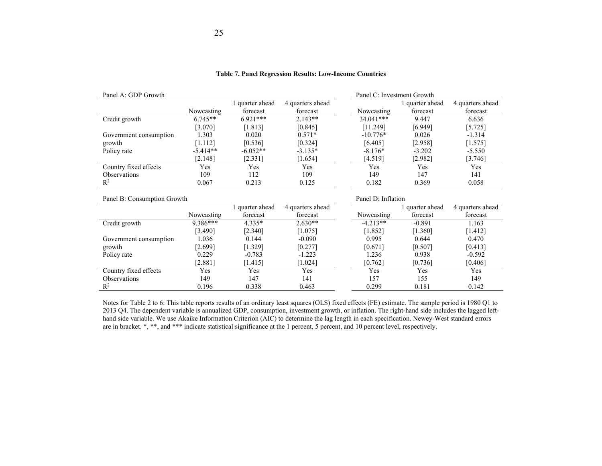| Panel A: GDP Growth         |            |                 |                  |                    | Panel C: Investment Growth |                  |
|-----------------------------|------------|-----------------|------------------|--------------------|----------------------------|------------------|
|                             |            | 1 quarter ahead | 4 quarters ahead |                    | 1 quarter ahead            | 4 quarters ahead |
|                             | Nowcasting | forecast        | forecast         | Nowcasting         | forecast                   | forecast         |
| Credit growth               | $6.745**$  | $6.921***$      | $2.143**$        | $34.041***$        | 9.447                      | 6.636            |
|                             | [3.070]    | [1.813]         | [0.845]          | [11.249]           | [6.949]                    | [5.725]          |
| Government consumption      | 1.303      | 0.020           | $0.571*$         | $-10.776*$         | 0.026                      | $-1.314$         |
| growth                      | [1.112]    | [0.536]         | [0.324]          | [6.405]            | [2.958]                    | [1.575]          |
| Policy rate                 | $-5.414**$ | $-6.052**$      | $-3.135*$        | $-8.176*$          | $-3.202$                   | $-5.550$         |
|                             | [2.148]    | [2.331]         | $[1.654]$        | [4.519]            | [2.982]                    | [3.746]          |
| Country fixed effects       | Yes        | Yes             | Yes              | Yes                | Yes                        | Yes              |
| <b>Observations</b>         | 109        | 112             | 109              | 149                | 147                        | 141              |
| $R^2$                       | 0.067      | 0.213           | 0.125            | 0.182              | 0.369                      | 0.058            |
|                             |            |                 |                  |                    |                            |                  |
| Panel B: Consumption Growth |            |                 |                  | Panel D: Inflation |                            |                  |
|                             |            | 1 quarter ahead | 4 quarters ahead |                    | 1 quarter ahead            | 4 quarters ahead |
|                             | Nowcasting | forecast        | forecast         | Nowcasting         | forecast                   | forecast         |
| Credit growth               | 9.386***   | $4.335*$        | $2.630**$        | $-4.213**$         | $-0.891$                   | 1.163            |
|                             | [3.490]    | [2.340]         | [1.075]          | [1.852]            | [1.360]                    | [1.412]          |
| Government consumption      | 1.036      | 0.144           | $-0.090$         | 0.995              | 0.644                      | 0.470            |
| growth                      | [2.699]    | [1.329]         | [0.277]          | [0.671]            | [0.507]                    | [0.413]          |
| Policy rate                 | 0.229      | $-0.783$        | $-1.223$         | 1.236              | 0.938                      | $-0.592$         |
|                             | [2.881]    | [1.415]         | [1.024]          | [0.762]            | [0.736]                    | [0.406]          |
| Country fixed effects       | Yes        | Yes             | Yes              | Yes                | Yes                        | Yes              |
| Observations                | 149        | 147             | 141              | 157                | 155                        | 149              |
| $R^2$                       | 0.196      | 0.338           | 0.463            | 0.299              | 0.181                      | 0.142            |

#### **Table 7. Panel Regression Results: Low-Income Countries**

Notes for Table 2 to 6: This table reports results of an ordinary least squares (OLS) fixed effects (FE) estimate. The sample period is 1980 Q1 to 2013 Q4. The dependent variable is annualized GDP, consumption, investment growth, or inflation. The right-hand side includes the lagged lefthand side variable. We use Akaike Information Criterion (AIC) to determine the lag length in each specification. Newey-West standard errors are in bracket. \*, \*\*, and \*\*\* indicate statistical significance at the 1 percent, 5 percent, and 10 percent level, respectively.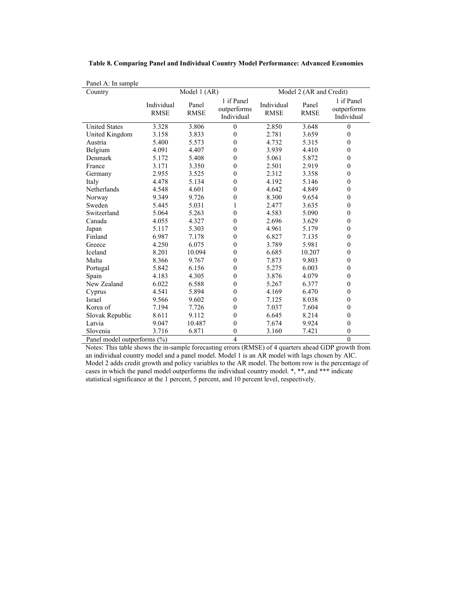| Panel A: In sample          |                           |                      |                                         |                           |                         |                                         |
|-----------------------------|---------------------------|----------------------|-----------------------------------------|---------------------------|-------------------------|-----------------------------------------|
| Country                     |                           | Model 1 (AR)         |                                         |                           | Model 2 (AR and Credit) |                                         |
|                             | Individual<br><b>RMSE</b> | Panel<br><b>RMSE</b> | 1 if Panel<br>outperforms<br>Individual | Individual<br><b>RMSE</b> | Panel<br><b>RMSE</b>    | 1 if Panel<br>outperforms<br>Individual |
| <b>United States</b>        | 3.328                     | 3.806                | $\mathbf{0}$                            | 2.850                     | 3.648                   | $\mathbf{0}$                            |
| United Kingdom              | 3.158                     | 3.833                | $\theta$                                | 2.781                     | 3.659                   | $\theta$                                |
| Austria                     | 5.400                     | 5.573                | $\theta$                                | 4.732                     | 5.315                   | $\mathbf{0}$                            |
| Belgium                     | 4.091                     | 4.407                | $\mathbf{0}$                            | 3.939                     | 4.410                   | $\mathbf{0}$                            |
| Denmark                     | 5.172                     | 5.408                | $\mathbf{0}$                            | 5.061                     | 5.872                   | $\mathbf{0}$                            |
| France                      | 3.171                     | 3.350                | $\theta$                                | 2.501                     | 2.919                   | $\mathbf{0}$                            |
| Germany                     | 2.955                     | 3.525                | $\theta$                                | 2.312                     | 3.358                   | $\theta$                                |
| Italy                       | 4.478                     | 5.134                | $\mathbf{0}$                            | 4.192                     | 5.146                   | $\mathbf{0}$                            |
| Netherlands                 | 4.548                     | 4.601                | $\mathbf{0}$                            | 4.642                     | 4.849                   | $\mathbf{0}$                            |
| Norway                      | 9.349                     | 9.726                | $\mathbf{0}$                            | 8.300                     | 9.654                   | $\mathbf{0}$                            |
| Sweden                      | 5.445                     | 5.031                | 1                                       | 2.477                     | 3.635                   | $\theta$                                |
| Switzerland                 | 5.064                     | 5.263                | $\theta$                                | 4.583                     | 5.090                   | $\mathbf{0}$                            |
| Canada                      | 4.055                     | 4.327                | $\mathbf{0}$                            | 2.696                     | 3.629                   | $\mathbf{0}$                            |
| Japan                       | 5.117                     | 5.303                | $\mathbf{0}$                            | 4.961                     | 5.179                   | $\mathbf{0}$                            |
| Finland                     | 6.987                     | 7.178                | $\mathbf{0}$                            | 6.827                     | 7.135                   | $\mathbf{0}$                            |
| Greece                      | 4.250                     | 6.075                | $\theta$                                | 3.789                     | 5.981                   | $\theta$                                |
| Iceland                     | 8.201                     | 10.094               | $\theta$                                | 6.685                     | 10.207                  | $\mathbf{0}$                            |
| Malta                       | 8.366                     | 9.767                | $\theta$                                | 7.873                     | 9.803                   | $\mathbf{0}$                            |
| Portugal                    | 5.842                     | 6.156                | $\mathbf{0}$                            | 5.275                     | 6.003                   | $\mathbf{0}$                            |
| Spain                       | 4.183                     | 4.305                | $\mathbf{0}$                            | 3.876                     | 4.079                   | $\mathbf{0}$                            |
| New Zealand                 | 6.022                     | 6.588                | $\theta$                                | 5.267                     | 6.377                   | $\mathbf{0}$                            |
| Cyprus                      | 4.541                     | 5.894                | $\mathbf{0}$                            | 4.169                     | 6.470                   | $\mathbf{0}$                            |
| Israel                      | 9.566                     | 9.602                | $\theta$                                | 7.125                     | 8.038                   | $\mathbf{0}$                            |
| Korea of                    | 7.194                     | 7.726                | $\mathbf{0}$                            | 7.037                     | 7.604                   | $\mathbf{0}$                            |
| Slovak Republic             | 8.611                     | 9.112                | $\mathbf{0}$                            | 6.645                     | 8.214                   | $\theta$                                |
| Latvia                      | 9.047                     | 10.487               | $\mathbf{0}$                            | 7.674                     | 9.924                   | $\mathbf{0}$                            |
| Slovenia                    | 3.716                     | 6.871                | $\theta$                                | 3.160                     | 7.421                   | $\mathbf{0}$                            |
| Panel model outperforms (%) |                           |                      | $\overline{4}$                          |                           |                         | $\theta$                                |

**Table 8. Comparing Panel and Individual Country Model Performance: Advanced Economies**

Notes: This table shows the in-sample forecasting errors (RMSE) of 4 quarters ahead GDP growth from an individual country model and a panel model. Model 1 is an AR model with lags chosen by AIC. Model 2 adds credit growth and policy variables to the AR model. The bottom row is the percentage of cases in which the panel model outperforms the individual country model. \*, \*\*, and \*\*\* indicate statistical significance at the 1 percent, 5 percent, and 10 percent level, respectively.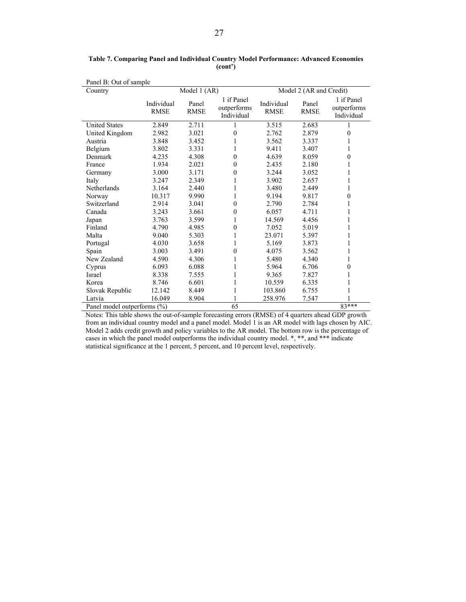| Panel B: Out of sample      |                           |                      |                                         |                           |                         |                                         |  |  |
|-----------------------------|---------------------------|----------------------|-----------------------------------------|---------------------------|-------------------------|-----------------------------------------|--|--|
| Country                     |                           | Model 1 (AR)         |                                         |                           | Model 2 (AR and Credit) |                                         |  |  |
|                             | Individual<br><b>RMSE</b> | Panel<br><b>RMSE</b> | 1 if Panel<br>outperforms<br>Individual | Individual<br><b>RMSE</b> | Panel<br><b>RMSE</b>    | 1 if Panel<br>outperforms<br>Individual |  |  |
| <b>United States</b>        | 2.849                     | 2.711                | 1                                       | 3.515                     | 2.683                   |                                         |  |  |
| United Kingdom              | 2.982                     | 3.021                | $\theta$                                | 2.762                     | 2.879                   | 0                                       |  |  |
| Austria                     | 3.848                     | 3.452                | 1                                       | 3.562                     | 3.337                   | 1                                       |  |  |
| Belgium                     | 3.802                     | 3.331                | 1                                       | 9.411                     | 3.407                   | 1                                       |  |  |
| Denmark                     | 4.235                     | 4.308                | $\theta$                                | 4.639                     | 8.059                   | $\theta$                                |  |  |
| France                      | 1.934                     | 2.021                | $\theta$                                | 2.435                     | 2.180                   | 1                                       |  |  |
| Germany                     | 3.000                     | 3.171                | $\theta$                                | 3.244                     | 3.052                   | 1                                       |  |  |
| Italy                       | 3.247                     | 2.349                | 1                                       | 3.902                     | 2.657                   | 1                                       |  |  |
| Netherlands                 | 3.164                     | 2.440                | 1                                       | 3.480                     | 2.449                   | 1                                       |  |  |
| Norway                      | 10.317                    | 9.990                | 1                                       | 9.194                     | 9.817                   | $\mathbf{0}$                            |  |  |
| Switzerland                 | 2.914                     | 3.041                | $\theta$                                | 2.790                     | 2.784                   | 1                                       |  |  |
| Canada                      | 3.243                     | 3.661                | $\theta$                                | 6.057                     | 4.711                   | 1                                       |  |  |
| Japan                       | 3.763                     | 3.599                | 1                                       | 14.569                    | 4.456                   | 1                                       |  |  |
| Finland                     | 4.790                     | 4.985                | $\mathbf{0}$                            | 7.052                     | 5.019                   | 1                                       |  |  |
| Malta                       | 9.040                     | 5.303                | 1                                       | 23.071                    | 5.397                   | 1                                       |  |  |
| Portugal                    | 4.030                     | 3.658                | 1                                       | 5.169                     | 3.873                   | 1                                       |  |  |
| Spain                       | 3.003                     | 3.491                | $\theta$                                | 4.075                     | 3.562                   | 1                                       |  |  |
| New Zealand                 | 4.590                     | 4.306                | 1                                       | 5.480                     | 4.340                   | 1                                       |  |  |
| Cyprus                      | 6.093                     | 6.088                | 1                                       | 5.964                     | 6.706                   | $\theta$                                |  |  |
| Israel                      | 8.338                     | 7.555                | 1                                       | 9.365                     | 7.827                   | 1                                       |  |  |
| Korea                       | 8.746                     | 6.601                | 1                                       | 10.559                    | 6.335                   | 1                                       |  |  |
| Slovak Republic             | 12.142                    | 8.449                |                                         | 103.860                   | 6.755                   |                                         |  |  |
| Latvia                      | 16.049                    | 8.904                |                                         | 258.976                   | 7.547                   |                                         |  |  |
| Panel model outperforms (%) |                           |                      | 65                                      |                           |                         | $83***$                                 |  |  |

**Table 7. Comparing Panel and Individual Country Model Performance: Advanced Economies (cont')**

Notes: This table shows the out-of-sample forecasting errors (RMSE) of 4 quarters ahead GDP growth from an individual country model and a panel model. Model 1 is an AR model with lags chosen by AIC. Model 2 adds credit growth and policy variables to the AR model. The bottom row is the percentage of cases in which the panel model outperforms the individual country model. \*, \*\*, and \*\*\* indicate statistical significance at the 1 percent, 5 percent, and 10 percent level, respectively.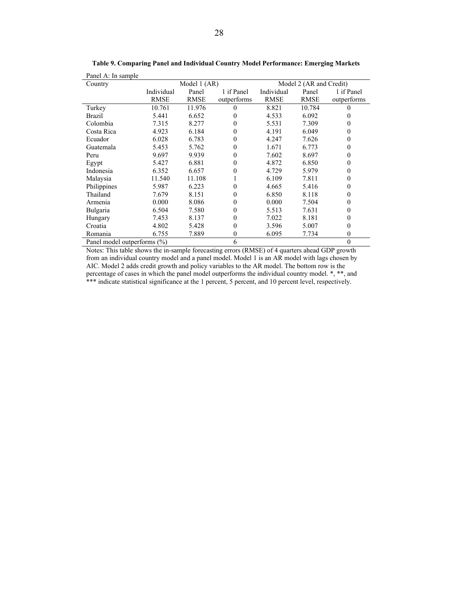| Panel A: In sample          |             |              |             |             |                         |             |
|-----------------------------|-------------|--------------|-------------|-------------|-------------------------|-------------|
| Country                     |             | Model 1 (AR) |             |             | Model 2 (AR and Credit) |             |
|                             | Individual  | Panel        | 1 if Panel  | Individual  | Panel                   | 1 if Panel  |
|                             | <b>RMSE</b> | <b>RMSE</b>  | outperforms | <b>RMSE</b> | <b>RMSE</b>             | outperforms |
| Turkey                      | 10.761      | 11.976       | 0           | 8.821       | 10.784                  | 0           |
| Brazil                      | 5.441       | 6.652        | $_{0}$      | 4.533       | 6.092                   |             |
| Colombia                    | 7.315       | 8.277        | 0           | 5.531       | 7.309                   | 0           |
| Costa Rica                  | 4.923       | 6.184        | 0           | 4.191       | 6.049                   | 0           |
| Ecuador                     | 6.028       | 6.783        | 0           | 4.247       | 7.626                   | 0           |
| Guatemala                   | 5.453       | 5.762        | 0           | 1.671       | 6.773                   | 0           |
| Peru                        | 9.697       | 9.939        | 0           | 7.602       | 8.697                   | 0           |
| Egypt                       | 5.427       | 6.881        | 0           | 4.872       | 6.850                   | 0           |
| Indonesia                   | 6.352       | 6.657        | 0           | 4.729       | 5.979                   | 0           |
| Malaysia                    | 11.540      | 11.108       |             | 6.109       | 7.811                   | 0           |
| Philippines                 | 5.987       | 6.223        | 0           | 4.665       | 5.416                   | 0           |
| Thailand                    | 7.679       | 8.151        | 0           | 6.850       | 8.118                   | 0           |
| Armenia                     | 0.000       | 8.086        | 0           | 0.000       | 7.504                   | 0           |
| Bulgaria                    | 6.504       | 7.580        | 0           | 5.513       | 7.631                   | 0           |
| Hungary                     | 7.453       | 8.137        | 0           | 7.022       | 8.181                   | 0           |
| Croatia                     | 4.802       | 5.428        | 0           | 3.596       | 5.007                   | 0           |
| Romania                     | 6.755       | 7.889        | 0           | 6.095       | 7.734                   | 0           |
| Panel model outperforms (%) |             |              | 6           |             |                         | $\theta$    |

**Table 9. Comparing Panel and Individual Country Model Performance: Emerging Markets** 

Notes: This table shows the in-sample forecasting errors (RMSE) of 4 quarters ahead GDP growth from an individual country model and a panel model. Model 1 is an AR model with lags chosen by AIC. Model 2 adds credit growth and policy variables to the AR model. The bottom row is the percentage of cases in which the panel model outperforms the individual country model. \*, \*\*, and \*\*\* indicate statistical significance at the 1 percent, 5 percent, and 10 percent level, respectively.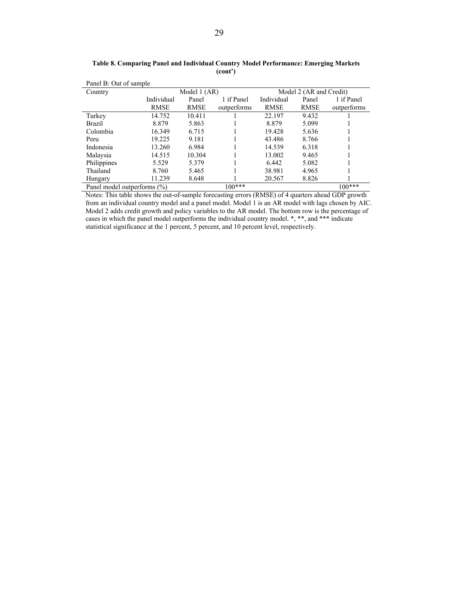| Panel B: Out of sample      |             |              |             |                         |             |             |  |
|-----------------------------|-------------|--------------|-------------|-------------------------|-------------|-------------|--|
| Country                     |             | Model 1 (AR) |             | Model 2 (AR and Credit) |             |             |  |
|                             | Individual  | Panel        | 1 if Panel  | Individual              | Panel       | 1 if Panel  |  |
|                             | <b>RMSE</b> | <b>RMSE</b>  | outperforms | <b>RMSE</b>             | <b>RMSE</b> | outperforms |  |
| Turkey                      | 14.752      | 10.411       |             | 22.197                  | 9.432       |             |  |
| Brazil                      | 8.879       | 5.863        |             | 8.879                   | 5.099       |             |  |
| Colombia                    | 16.349      | 6.715        |             | 19.428                  | 5.636       |             |  |
| Peru                        | 19.225      | 9.181        |             | 43.486                  | 8.766       |             |  |
| Indonesia                   | 13.260      | 6.984        |             | 14.539                  | 6.318       |             |  |
| Malaysia                    | 14.515      | 10.304       |             | 13.002                  | 9.465       |             |  |
| Philippines                 | 5.529       | 5.379        |             | 6.442                   | 5.082       |             |  |
| Thailand                    | 8.760       | 5.465        |             | 38.981                  | 4.965       |             |  |
| Hungary                     | 11.239      | 8.648        |             | 20.567                  | 8.826       |             |  |
| Panel model outperforms (%) |             |              | $100***$    |                         |             | $100***$    |  |

**Table 8. Comparing Panel and Individual Country Model Performance: Emerging Markets (cont')** 

Notes: This table shows the out-of-sample forecasting errors (RMSE) of 4 quarters ahead GDP growth from an individual country model and a panel model. Model 1 is an AR model with lags chosen by AIC. Model 2 adds credit growth and policy variables to the AR model. The bottom row is the percentage of cases in which the panel model outperforms the individual country model. \*, \*\*, and \*\*\* indicate statistical significance at the 1 percent, 5 percent, and 10 percent level, respectively.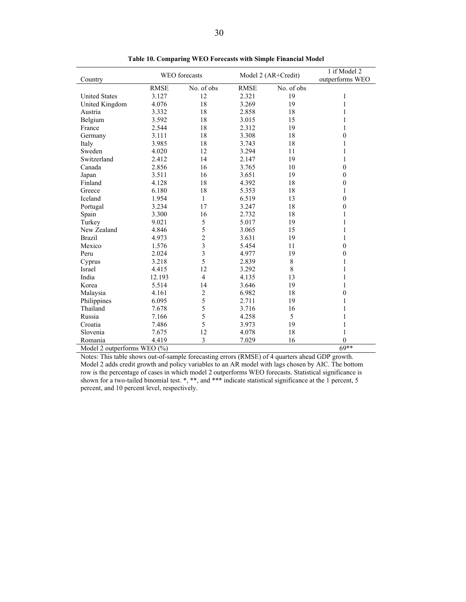| Country                                | WEO forecasts |                         | Model 2 (AR+Credit) |            | 1 if Model 2<br>outperforms WEO |
|----------------------------------------|---------------|-------------------------|---------------------|------------|---------------------------------|
|                                        | <b>RMSE</b>   | No. of obs              | <b>RMSE</b>         | No. of obs |                                 |
| <b>United States</b>                   | 3.127         | 12                      | 2.321               | 19         | 1                               |
| United Kingdom                         | 4.076         | 18                      | 3.269               | 19         | 1                               |
| Austria                                | 3.332         | 18                      | 2.858               | 18         | 1                               |
| Belgium                                | 3.592         | 18                      | 3.015               | 15         | 1                               |
| France                                 | 2.544         | 18                      | 2.312               | 19         | 1                               |
| Germany                                | 3.111         | 18                      | 3.308               | 18         | $\theta$                        |
| Italy                                  | 3.985         | 18                      | 3.743               | 18         | 1                               |
| Sweden                                 | 4.020         | 12                      | 3.294               | 11         | 1                               |
| Switzerland                            | 2.412         | 14                      | 2.147               | 19         | 1                               |
| Canada                                 | 2.856         | 16                      | 3.765               | 10         | $\mathbf{0}$                    |
| Japan                                  | 3.511         | 16                      | 3.651               | 19         | $\boldsymbol{0}$                |
| Finland                                | 4.128         | 18                      | 4.392               | 18         | $\mathbf{0}$                    |
| Greece                                 | 6.180         | 18                      | 5.353               | 18         | 1                               |
| Iceland                                | 1.954         | $\mathbf{1}$            | 6.519               | 13         | $\boldsymbol{0}$                |
| Portugal                               | 3.234         | 17                      | 3.247               | 18         | $\boldsymbol{0}$                |
| Spain                                  | 3.300         | 16                      | 2.732               | 18         | 1                               |
| Turkey                                 | 9.021         | 5                       | 5.017               | 19         | 1                               |
| New Zealand                            | 4.846         | 5                       | 3.065               | 15         | 1                               |
| <b>Brazil</b>                          | 4.973         | $\overline{c}$          | 3.631               | 19         | 1                               |
| Mexico                                 | 1.576         | $\overline{\mathbf{3}}$ | 5.454               | 11         | $\mathbf{0}$                    |
| Peru                                   | 2.024         | $\overline{3}$          | 4.977               | 19         | $\theta$                        |
| Cyprus                                 | 3.218         | 5                       | 2.839               | $\,8\,$    | 1                               |
| Israel                                 | 4.415         | 12                      | 3.292               | 8          | 1                               |
| India                                  | 12.193        | $\overline{4}$          | 4.135               | 13         | 1                               |
| Korea                                  | 5.514         | 14                      | 3.646               | 19         | 1                               |
| Malaysia                               | 4.161         | $\overline{c}$          | 6.982               | 18         | $\mathbf{0}$                    |
| Philippines                            | 6.095         | 5                       | 2.711               | 19         | 1                               |
| Thailand                               | 7.678         | 5                       | 3.716               | 16         | 1                               |
| Russia                                 | 7.166         | 5                       | 4.258               | 5          | 1                               |
| Croatia                                | 7.486         | 5                       | 3.973               | 19         | 1                               |
| Slovenia                               | 7.675         | 12                      | 4.078               | 18         | 1                               |
| Romania                                | 4.419         | 3                       | 7.029               | 16         | $\theta$                        |
| $69***$<br>Model 2 outperforms WEO (%) |               |                         |                     |            |                                 |

**Table 10. Comparing WEO Forecasts with Simple Financial Model**

Notes: This table shows out-of-sample forecasting errors (RMSE) of 4 quarters ahead GDP growth. Model 2 adds credit growth and policy variables to an AR model with lags chosen by AIC. The bottom row is the percentage of cases in which model 2 outperforms WEO forecasts. Statistical significance is shown for a two-tailed binomial test. \*, \*\*, and \*\*\* indicate statistical significance at the 1 percent, 5 percent, and 10 percent level, respectively.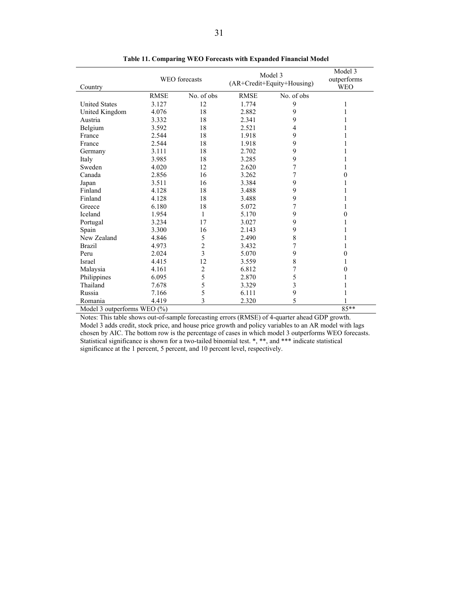| Country                             | <b>WEO</b> forecasts |                | Model 3<br>(AR+Credit+Equity+Housing) |                | Model 3<br>outperforms<br><b>WEO</b> |
|-------------------------------------|----------------------|----------------|---------------------------------------|----------------|--------------------------------------|
|                                     | <b>RMSE</b>          | No. of obs     | <b>RMSE</b>                           | No. of obs     |                                      |
| <b>United States</b>                | 3.127                | 12             | 1.774                                 | 9              | 1                                    |
| United Kingdom                      | 4.076                | 18             | 2.882                                 | 9              |                                      |
| Austria                             | 3.332                | 18             | 2.341                                 | 9              |                                      |
| Belgium                             | 3.592                | 18             | 2.521                                 | 4              |                                      |
| France                              | 2.544                | 18             | 1.918                                 | 9              |                                      |
| France                              | 2.544                | 18             | 1.918                                 | 9              |                                      |
| Germany                             | 3.111                | 18             | 2.702                                 | 9              |                                      |
| Italy                               | 3.985                | 18             | 3.285                                 | 9              |                                      |
| Sweden                              | 4.020                | 12             | 2.620                                 | 7              |                                      |
| Canada                              | 2.856                | 16             | 3.262                                 | 7              | $\Omega$                             |
| Japan                               | 3.511                | 16             | 3.384                                 | 9              |                                      |
| Finland                             | 4.128                | 18             | 3.488                                 | 9              |                                      |
| Finland                             | 4.128                | 18             | 3.488                                 | 9              |                                      |
| Greece                              | 6.180                | 18             | 5.072                                 | 7              |                                      |
| Iceland                             | 1.954                | 1              | 5.170                                 | 9              | $\Omega$                             |
| Portugal                            | 3.234                | 17             | 3.027                                 | 9              |                                      |
| Spain                               | 3.300                | 16             | 2.143                                 | 9              |                                      |
| New Zealand                         | 4.846                | 5              | 2.490                                 | $\,$ $\,$      |                                      |
| <b>Brazil</b>                       | 4.973                | $\overline{2}$ | 3.432                                 | $\overline{7}$ |                                      |
| Peru                                | 2.024                | 3              | 5.070                                 | 9              | $\mathbf{0}$                         |
| Israel                              | 4.415                | 12             | 3.559                                 | 8              | 1                                    |
| Malaysia                            | 4.161                | 2              | 6.812                                 | 7              | 0                                    |
| Philippines                         | 6.095                | 5              | 2.870                                 | 5              |                                      |
| Thailand                            | 7.678                | 5              | 3.329                                 | 3              |                                      |
| Russia                              | 7.166                | 5              | 6.111                                 | 9              |                                      |
| Romania                             | 4.419                | 3              | 2.320                                 | 5              |                                      |
| 85**<br>Model 3 outperforms WEO (%) |                      |                |                                       |                |                                      |

**Table 11. Comparing WEO Forecasts with Expanded Financial Model** 

Notes: This table shows out-of-sample forecasting errors (RMSE) of 4-quarter ahead GDP growth. Model 3 adds credit, stock price, and house price growth and policy variables to an AR model with lags chosen by AIC. The bottom row is the percentage of cases in which model 3 outperforms WEO forecasts. Statistical significance is shown for a two-tailed binomial test. \*, \*\*, and \*\*\* indicate statistical significance at the 1 percent, 5 percent, and 10 percent level, respectively.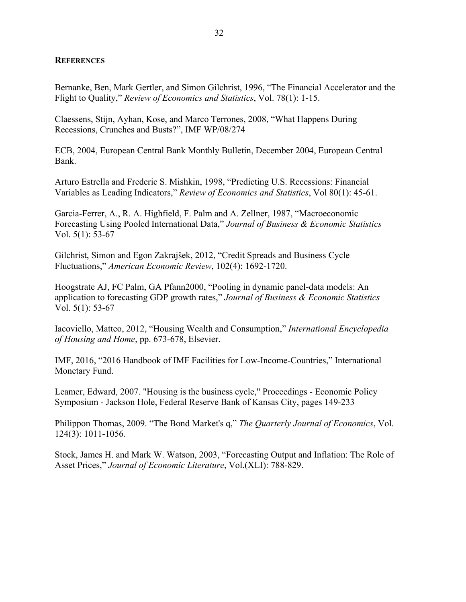#### **REFERENCES**

Bernanke, Ben, Mark Gertler, and Simon Gilchrist, 1996, "The Financial Accelerator and the Flight to Quality," *Review of Economics and Statistics*, Vol. 78(1): 1-15.

Claessens, Stijn, Ayhan, Kose, and Marco Terrones, 2008, "What Happens During Recessions, Crunches and Busts?", IMF WP/08/274

ECB, 2004, European Central Bank Monthly Bulletin, December 2004, European Central Bank.

Arturo Estrella and Frederic S. Mishkin, 1998, "Predicting U.S. Recessions: Financial Variables as Leading Indicators," *Review of Economics and Statistics*, Vol 80(1): 45-61.

Garcia-Ferrer, A., R. A. Highfield, F. Palm and A. Zellner, 1987, "Macroeconomic Forecasting Using Pooled International Data," *Journal of Business & Economic Statistics* Vol. 5(1): 53-67

Gilchrist, Simon and Egon Zakrajšek, 2012, "Credit Spreads and Business Cycle Fluctuations," *American Economic Review*, 102(4): 1692-1720.

Hoogstrate AJ, FC Palm, GA Pfann2000, "Pooling in dynamic panel-data models: An application to forecasting GDP growth rates," *Journal of Business & Economic Statistics* Vol. 5(1): 53-67

Iacoviello, Matteo, 2012, "Housing Wealth and Consumption," *International Encyclopedia of Housing and Home*, pp. 673-678, Elsevier.

IMF, 2016, "2016 Handbook of IMF Facilities for Low-Income-Countries," International Monetary Fund.

Leamer, Edward, 2007. "Housing is the business cycle," Proceedings - Economic Policy Symposium - Jackson Hole, Federal Reserve Bank of Kansas City, pages 149-233

Philippon Thomas, 2009. "The Bond Market's q," *The Quarterly Journal of Economics*, Vol. 124(3): 1011-1056.

Stock, James H. and Mark W. Watson, 2003, "Forecasting Output and Inflation: The Role of Asset Prices," *Journal of Economic Literature*, Vol.(XLI): 788-829.